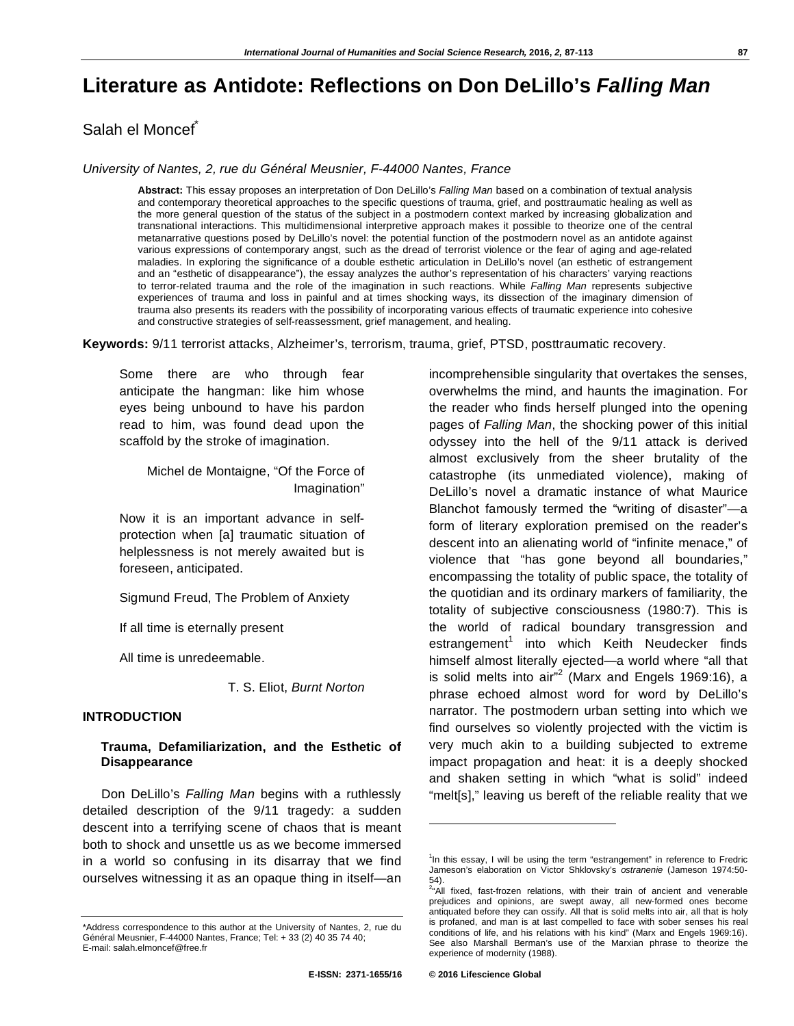# **Literature as Antidote: Reflections on Don DeLillo's** *Falling Man*

## Salah el Moncef

#### *University of Nantes, 2, rue du Général Meusnier, F-44000 Nantes, France*

**Abstract:** This essay proposes an interpretation of Don DeLillo's *Falling Man* based on a combination of textual analysis and contemporary theoretical approaches to the specific questions of trauma, grief, and posttraumatic healing as well as the more general question of the status of the subject in a postmodern context marked by increasing globalization and transnational interactions. This multidimensional interpretive approach makes it possible to theorize one of the central metanarrative questions posed by DeLillo's novel: the potential function of the postmodern novel as an antidote against various expressions of contemporary angst, such as the dread of terrorist violence or the fear of aging and age-related maladies. In exploring the significance of a double esthetic articulation in DeLillo's novel (an esthetic of estrangement and an "esthetic of disappearance"), the essay analyzes the author's representation of his characters' varying reactions to terror-related trauma and the role of the imagination in such reactions. While *Falling Man* represents subjective experiences of trauma and loss in painful and at times shocking ways, its dissection of the imaginary dimension of trauma also presents its readers with the possibility of incorporating various effects of traumatic experience into cohesive and constructive strategies of self-reassessment, grief management, and healing.

**Keywords:** 9/11 terrorist attacks, Alzheimer's, terrorism, trauma, grief, PTSD, posttraumatic recovery.

Some there are who through fear anticipate the hangman: like him whose eyes being unbound to have his pardon read to him, was found dead upon the scaffold by the stroke of imagination.

> Michel de Montaigne, "Of the Force of Imagination"

Now it is an important advance in selfprotection when [a] traumatic situation of helplessness is not merely awaited but is foreseen, anticipated.

Sigmund Freud, The Problem of Anxiety

If all time is eternally present

All time is unredeemable.

T. S. Eliot, *Burnt Norton*

#### **INTRODUCTION**

### **Trauma, Defamiliarization, and the Esthetic of Disappearance**

Don DeLillo's *Falling Man* begins with a ruthlessly detailed description of the 9/11 tragedy: a sudden descent into a terrifying scene of chaos that is meant both to shock and unsettle us as we become immersed in a world so confusing in its disarray that we find ourselves witnessing it as an opaque thing in itself—an

 **E-ISSN: 2371-1655/16 © 2016 Lifescience Global** 

l

incomprehensible singularity that overtakes the senses, overwhelms the mind, and haunts the imagination. For the reader who finds herself plunged into the opening pages of *Falling Man*, the shocking power of this initial odyssey into the hell of the 9/11 attack is derived almost exclusively from the sheer brutality of the catastrophe (its unmediated violence), making of DeLillo's novel a dramatic instance of what Maurice Blanchot famously termed the "writing of disaster"—a form of literary exploration premised on the reader's descent into an alienating world of "infinite menace," of violence that "has gone beyond all boundaries," encompassing the totality of public space, the totality of the quotidian and its ordinary markers of familiarity, the totality of subjective consciousness (1980:7). This is the world of radical boundary transgression and estrangement<sup>1</sup> into which Keith Neudecker finds himself almost literally ejected—a world where "all that is solid melts into air"<sup>2</sup> (Marx and Engels 1969:16), a phrase echoed almost word for word by DeLillo's narrator. The postmodern urban setting into which we find ourselves so violently projected with the victim is very much akin to a building subjected to extreme impact propagation and heat: it is a deeply shocked and shaken setting in which "what is solid" indeed "melt[s]," leaving us bereft of the reliable reality that we

<sup>\*</sup>Address correspondence to this author at the University of Nantes, 2, rue du Général Meusnier, F-44000 Nantes, France; Tel: + 33 (2) 40 35 74 40; E-mail: salah.elmoncef@free.fr

<sup>&</sup>lt;sup>1</sup>In this essay, I will be using the term "estrangement" in reference to Fredric Jameson's elaboration on Victor Shklovsky's *ostranenie* (Jameson 1974:50- 54).

 $2^{\mu}$ All fixed, fast-frozen relations, with their train of ancient and venerable prejudices and opinions, are swept away, all new-formed ones become antiquated before they can ossify. All that is solid melts into air, all that is holy is profaned, and man is at last compelled to face with sober senses his real conditions of life, and his relations with his kind" (Marx and Engels 1969:16). See also Marshall Berman's use of the Marxian phrase to theorize the experience of modernity (1988).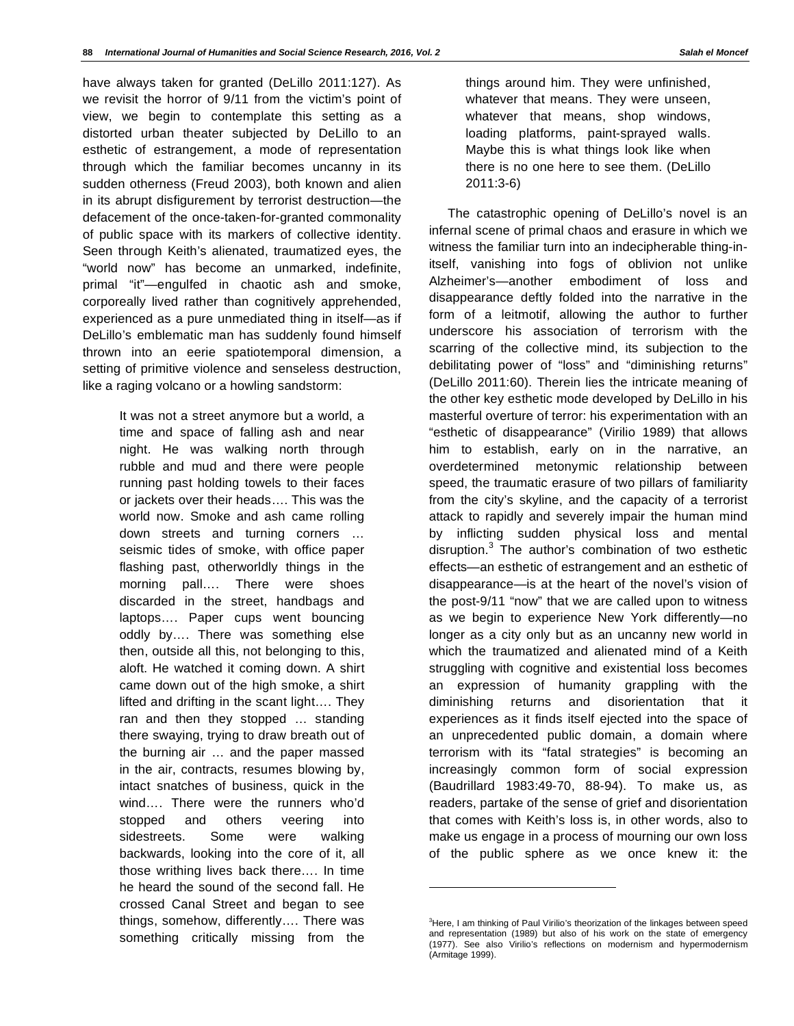have always taken for granted (DeLillo 2011:127). As we revisit the horror of 9/11 from the victim's point of view, we begin to contemplate this setting as a distorted urban theater subjected by DeLillo to an esthetic of estrangement, a mode of representation through which the familiar becomes uncanny in its sudden otherness (Freud 2003), both known and alien in its abrupt disfigurement by terrorist destruction—the defacement of the once-taken-for-granted commonality of public space with its markers of collective identity. Seen through Keith's alienated, traumatized eyes, the "world now" has become an unmarked, indefinite, primal "it"—engulfed in chaotic ash and smoke, corporeally lived rather than cognitively apprehended, experienced as a pure unmediated thing in itself—as if DeLillo's emblematic man has suddenly found himself thrown into an eerie spatiotemporal dimension, a setting of primitive violence and senseless destruction, like a raging volcano or a howling sandstorm:

> It was not a street anymore but a world, a time and space of falling ash and near night. He was walking north through rubble and mud and there were people running past holding towels to their faces or jackets over their heads…. This was the world now. Smoke and ash came rolling down streets and turning corners … seismic tides of smoke, with office paper flashing past, otherworldly things in the morning pall…. There were shoes discarded in the street, handbags and laptops…. Paper cups went bouncing oddly by…. There was something else then, outside all this, not belonging to this, aloft. He watched it coming down. A shirt came down out of the high smoke, a shirt lifted and drifting in the scant light…. They ran and then they stopped … standing there swaying, trying to draw breath out of the burning air … and the paper massed in the air, contracts, resumes blowing by, intact snatches of business, quick in the wind…. There were the runners who'd stopped and others veering into sidestreets. Some were walking backwards, looking into the core of it, all those writhing lives back there…. In time he heard the sound of the second fall. He crossed Canal Street and began to see things, somehow, differently…. There was something critically missing from the

things around him. They were unfinished, whatever that means. They were unseen, whatever that means, shop windows, loading platforms, paint-sprayed walls. Maybe this is what things look like when there is no one here to see them. (DeLillo 2011:3-6)

The catastrophic opening of DeLillo's novel is an infernal scene of primal chaos and erasure in which we witness the familiar turn into an indecipherable thing-initself, vanishing into fogs of oblivion not unlike Alzheimer's—another embodiment of loss and disappearance deftly folded into the narrative in the form of a leitmotif, allowing the author to further underscore his association of terrorism with the scarring of the collective mind, its subjection to the debilitating power of "loss" and "diminishing returns" (DeLillo 2011:60). Therein lies the intricate meaning of the other key esthetic mode developed by DeLillo in his masterful overture of terror: his experimentation with an "esthetic of disappearance" (Virilio 1989) that allows him to establish, early on in the narrative, an overdetermined metonymic relationship between speed, the traumatic erasure of two pillars of familiarity from the city's skyline, and the capacity of a terrorist attack to rapidly and severely impair the human mind by inflicting sudden physical loss and mental disruption.<sup>3</sup> The author's combination of two esthetic effects—an esthetic of estrangement and an esthetic of disappearance—is at the heart of the novel's vision of the post-9/11 "now" that we are called upon to witness as we begin to experience New York differently—no longer as a city only but as an uncanny new world in which the traumatized and alienated mind of a Keith struggling with cognitive and existential loss becomes an expression of humanity grappling with the diminishing returns and disorientation that it experiences as it finds itself ejected into the space of an unprecedented public domain, a domain where terrorism with its "fatal strategies" is becoming an increasingly common form of social expression (Baudrillard 1983:49-70, 88-94). To make us, as readers, partake of the sense of grief and disorientation that comes with Keith's loss is, in other words, also to make us engage in a process of mourning our own loss of the public sphere as we once knew it: the

 $3$ Here, I am thinking of Paul Virilio's theorization of the linkages between speed and representation (1989) but also of his work on the state of emergency (1977). See also Virilio's reflections on modernism and hypermodernism (Armitage 1999).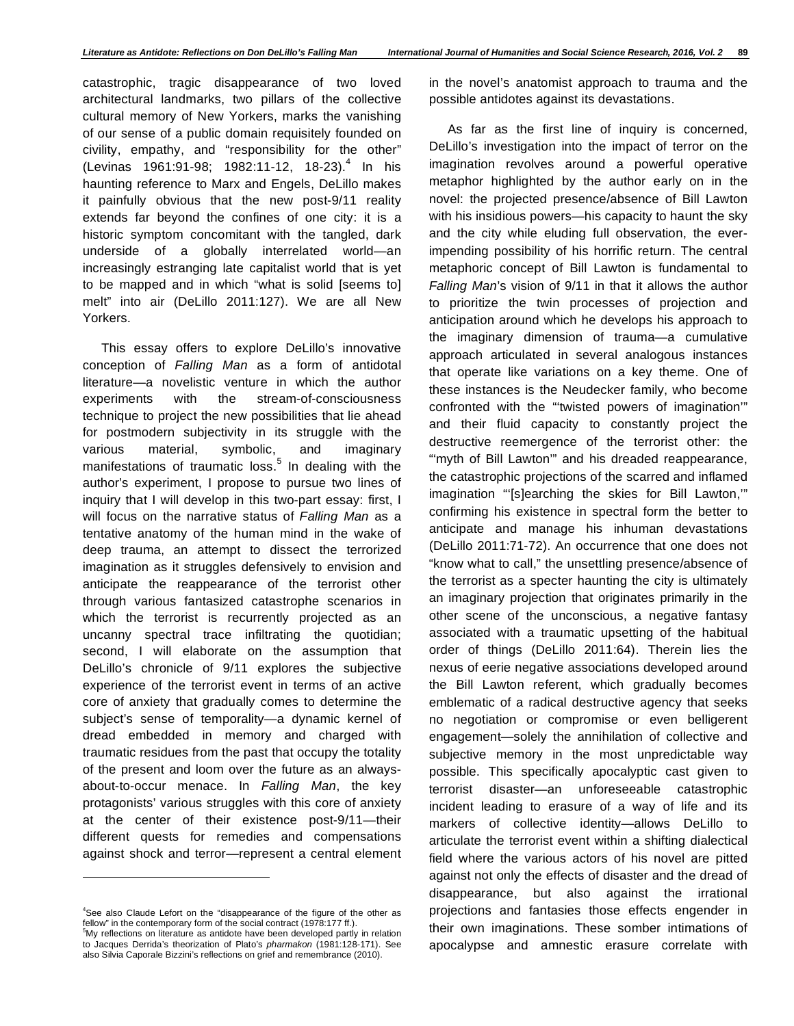catastrophic, tragic disappearance of two loved architectural landmarks, two pillars of the collective cultural memory of New Yorkers, marks the vanishing of our sense of a public domain requisitely founded on civility, empathy, and "responsibility for the other" (Levinas 1961:91-98; 1982:11-12, 18-23).<sup>4</sup> In his haunting reference to Marx and Engels, DeLillo makes it painfully obvious that the new post-9/11 reality extends far beyond the confines of one city: it is a historic symptom concomitant with the tangled, dark underside of a globally interrelated world—an increasingly estranging late capitalist world that is yet to be mapped and in which "what is solid [seems to] melt" into air (DeLillo 2011:127). We are all New Yorkers.

This essay offers to explore DeLillo's innovative conception of *Falling Man* as a form of antidotal literature—a novelistic venture in which the author experiments with the stream-of-consciousness technique to project the new possibilities that lie ahead for postmodern subjectivity in its struggle with the various material, symbolic, and imaginary manifestations of traumatic loss.<sup>5</sup> In dealing with the author's experiment, I propose to pursue two lines of inquiry that I will develop in this two-part essay: first, I will focus on the narrative status of *Falling Man* as a tentative anatomy of the human mind in the wake of deep trauma, an attempt to dissect the terrorized imagination as it struggles defensively to envision and anticipate the reappearance of the terrorist other through various fantasized catastrophe scenarios in which the terrorist is recurrently projected as an uncanny spectral trace infiltrating the quotidian; second, I will elaborate on the assumption that DeLillo's chronicle of 9/11 explores the subjective experience of the terrorist event in terms of an active core of anxiety that gradually comes to determine the subject's sense of temporality—a dynamic kernel of dread embedded in memory and charged with traumatic residues from the past that occupy the totality of the present and loom over the future as an alwaysabout-to-occur menace. In *Falling Man*, the key protagonists' various struggles with this core of anxiety at the center of their existence post-9/11—their different quests for remedies and compensations against shock and terror—represent a central element

l

in the novel's anatomist approach to trauma and the possible antidotes against its devastations.

As far as the first line of inquiry is concerned, DeLillo's investigation into the impact of terror on the imagination revolves around a powerful operative metaphor highlighted by the author early on in the novel: the projected presence/absence of Bill Lawton with his insidious powers—his capacity to haunt the sky and the city while eluding full observation, the everimpending possibility of his horrific return. The central metaphoric concept of Bill Lawton is fundamental to *Falling Man*'s vision of 9/11 in that it allows the author to prioritize the twin processes of projection and anticipation around which he develops his approach to the imaginary dimension of trauma—a cumulative approach articulated in several analogous instances that operate like variations on a key theme. One of these instances is the Neudecker family, who become confronted with the "'twisted powers of imagination'" and their fluid capacity to constantly project the destructive reemergence of the terrorist other: the "'myth of Bill Lawton'" and his dreaded reappearance, the catastrophic projections of the scarred and inflamed imagination "'[s]earching the skies for Bill Lawton,'" confirming his existence in spectral form the better to anticipate and manage his inhuman devastations (DeLillo 2011:71-72). An occurrence that one does not "know what to call," the unsettling presence/absence of the terrorist as a specter haunting the city is ultimately an imaginary projection that originates primarily in the other scene of the unconscious, a negative fantasy associated with a traumatic upsetting of the habitual order of things (DeLillo 2011:64). Therein lies the nexus of eerie negative associations developed around the Bill Lawton referent, which gradually becomes emblematic of a radical destructive agency that seeks no negotiation or compromise or even belligerent engagement—solely the annihilation of collective and subjective memory in the most unpredictable way possible. This specifically apocalyptic cast given to terrorist disaster—an unforeseeable catastrophic incident leading to erasure of a way of life and its markers of collective identity—allows DeLillo to articulate the terrorist event within a shifting dialectical field where the various actors of his novel are pitted against not only the effects of disaster and the dread of disappearance, but also against the irrational projections and fantasies those effects engender in their own imaginations. These somber intimations of apocalypse and amnestic erasure correlate with

<sup>&</sup>lt;sup>4</sup>See also Claude Lefort on the "disappearance of the figure of the other as fellow" in the contemporary form of the social contract (1978:177 ff.). <sup>5</sup>My reflections on literature as antidote have been developed partly in relation

to Jacques Derrida's theorization of Plato's *pharmakon* (1981:128-171). See also Silvia Caporale Bizzini's reflections on grief and remembrance (2010).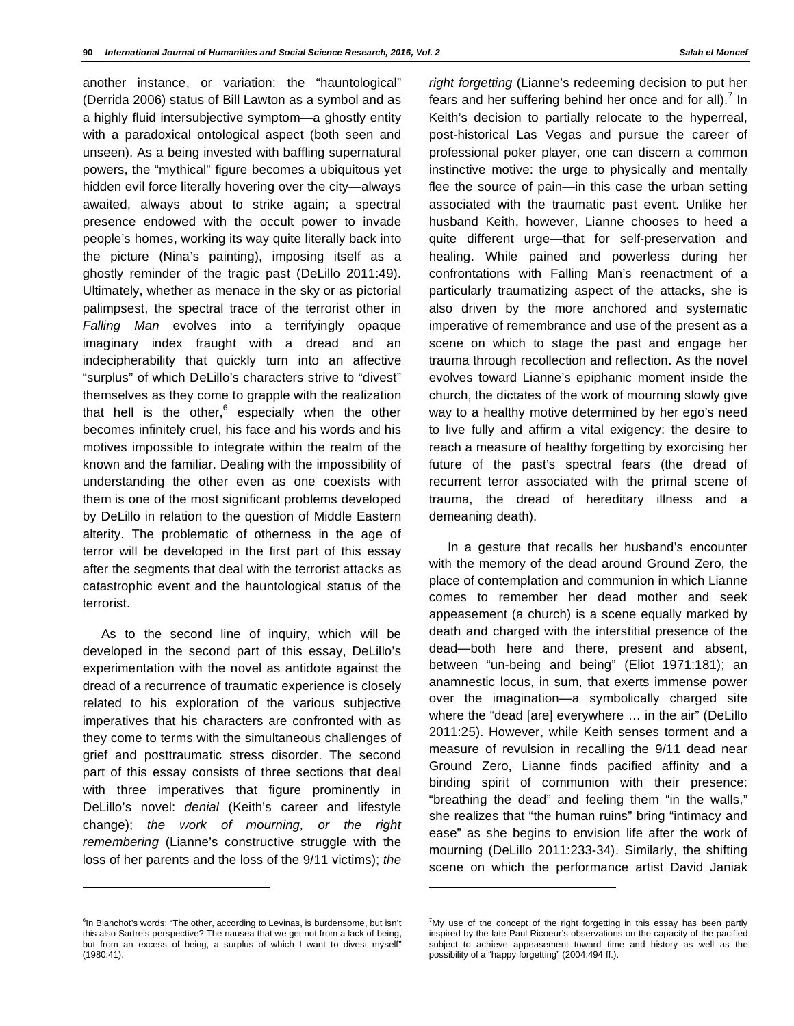another instance, or variation: the "hauntological" (Derrida 2006) status of Bill Lawton as a symbol and as a highly fluid intersubjective symptom—a ghostly entity with a paradoxical ontological aspect (both seen and unseen). As a being invested with baffling supernatural powers, the "mythical" figure becomes a ubiquitous yet hidden evil force literally hovering over the city—always awaited, always about to strike again; a spectral presence endowed with the occult power to invade people's homes, working its way quite literally back into the picture (Nina's painting), imposing itself as a ghostly reminder of the tragic past (DeLillo 2011:49). Ultimately, whether as menace in the sky or as pictorial palimpsest, the spectral trace of the terrorist other in *Falling Man* evolves into a terrifyingly opaque imaginary index fraught with a dread and an indecipherability that quickly turn into an affective "surplus" of which DeLillo's characters strive to "divest" themselves as they come to grapple with the realization that hell is the other, $^6$  especially when the other becomes infinitely cruel, his face and his words and his motives impossible to integrate within the realm of the known and the familiar. Dealing with the impossibility of understanding the other even as one coexists with them is one of the most significant problems developed by DeLillo in relation to the question of Middle Eastern alterity. The problematic of otherness in the age of terror will be developed in the first part of this essay after the segments that deal with the terrorist attacks as catastrophic event and the hauntological status of the terrorist.

As to the second line of inquiry, which will be developed in the second part of this essay, DeLillo's experimentation with the novel as antidote against the dread of a recurrence of traumatic experience is closely related to his exploration of the various subjective imperatives that his characters are confronted with as they come to terms with the simultaneous challenges of grief and posttraumatic stress disorder. The second part of this essay consists of three sections that deal with three imperatives that figure prominently in DeLillo's novel: *denial* (Keith's career and lifestyle change); *the work of mourning, or the right remembering* (Lianne's constructive struggle with the loss of her parents and the loss of the 9/11 victims); *the* 

l

*right forgetting* (Lianne's redeeming decision to put her fears and her suffering behind her once and for all).<sup>7</sup> In Keith's decision to partially relocate to the hyperreal, post-historical Las Vegas and pursue the career of professional poker player, one can discern a common instinctive motive: the urge to physically and mentally flee the source of pain—in this case the urban setting associated with the traumatic past event. Unlike her husband Keith, however, Lianne chooses to heed a quite different urge—that for self-preservation and healing. While pained and powerless during her confrontations with Falling Man's reenactment of a particularly traumatizing aspect of the attacks, she is also driven by the more anchored and systematic imperative of remembrance and use of the present as a scene on which to stage the past and engage her trauma through recollection and reflection. As the novel evolves toward Lianne's epiphanic moment inside the church, the dictates of the work of mourning slowly give way to a healthy motive determined by her ego's need to live fully and affirm a vital exigency: the desire to reach a measure of healthy forgetting by exorcising her future of the past's spectral fears (the dread of recurrent terror associated with the primal scene of trauma, the dread of hereditary illness and a demeaning death).

In a gesture that recalls her husband's encounter with the memory of the dead around Ground Zero, the place of contemplation and communion in which Lianne comes to remember her dead mother and seek appeasement (a church) is a scene equally marked by death and charged with the interstitial presence of the dead—both here and there, present and absent, between "un-being and being" (Eliot 1971:181); an anamnestic locus, in sum, that exerts immense power over the imagination—a symbolically charged site where the "dead [are] everywhere … in the air" (DeLillo 2011:25). However, while Keith senses torment and a measure of revulsion in recalling the 9/11 dead near Ground Zero, Lianne finds pacified affinity and a binding spirit of communion with their presence: "breathing the dead" and feeling them "in the walls," she realizes that "the human ruins" bring "intimacy and ease" as she begins to envision life after the work of mourning (DeLillo 2011:233-34). Similarly, the shifting scene on which the performance artist David Janiak

 $6$ In Blanchot's words: "The other, according to Levinas, is burdensome, but isn't this also Sartre's perspective? The nausea that we get not from a lack of being, but from an excess of being, a surplus of which I want to divest myself" (1980:41).

 $7$ My use of the concept of the right forgetting in this essay has been partly inspired by the late Paul Ricoeur's observations on the capacity of the pacified subject to achieve appeasement toward time and history as well as the possibility of a "happy forgetting" (2004:494 ff.).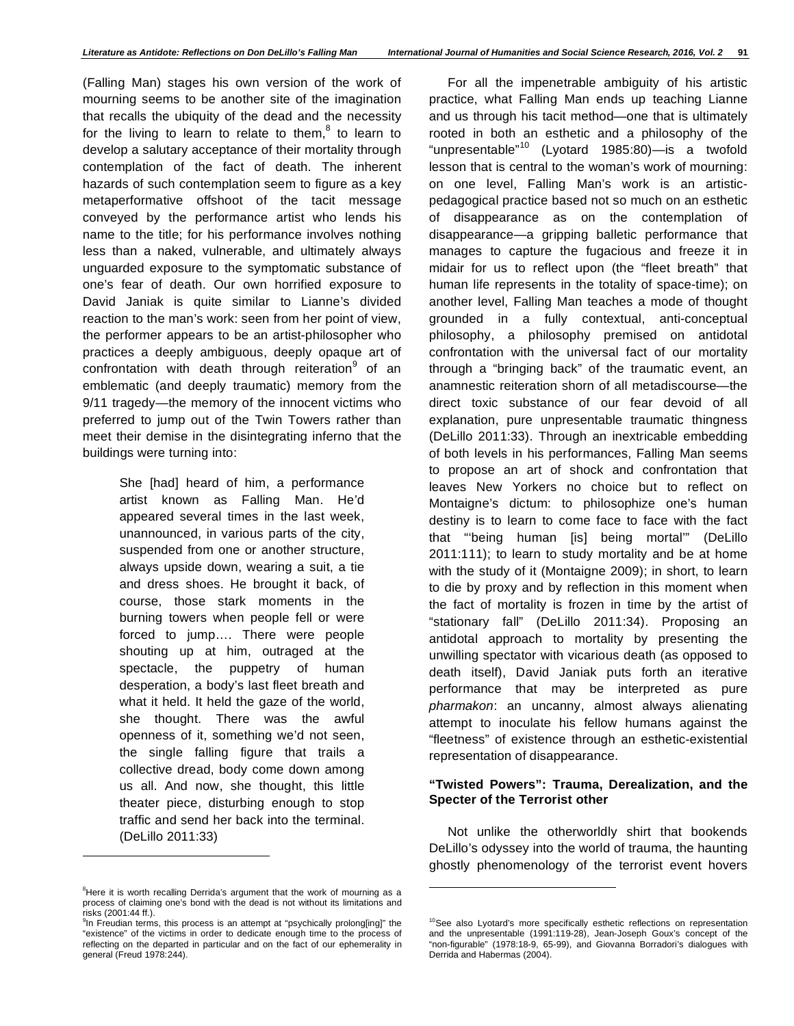(Falling Man) stages his own version of the work of mourning seems to be another site of the imagination that recalls the ubiquity of the dead and the necessity for the living to learn to relate to them, $^8$  to learn to develop a salutary acceptance of their mortality through contemplation of the fact of death. The inherent hazards of such contemplation seem to figure as a key metaperformative offshoot of the tacit message conveyed by the performance artist who lends his name to the title; for his performance involves nothing less than a naked, vulnerable, and ultimately always unguarded exposure to the symptomatic substance of one's fear of death. Our own horrified exposure to David Janiak is quite similar to Lianne's divided reaction to the man's work: seen from her point of view, the performer appears to be an artist-philosopher who practices a deeply ambiguous, deeply opaque art of confrontation with death through reiteration<sup>9</sup> of an emblematic (and deeply traumatic) memory from the 9/11 tragedy—the memory of the innocent victims who preferred to jump out of the Twin Towers rather than meet their demise in the disintegrating inferno that the buildings were turning into:

> She [had] heard of him, a performance artist known as Falling Man. He'd appeared several times in the last week, unannounced, in various parts of the city, suspended from one or another structure, always upside down, wearing a suit, a tie and dress shoes. He brought it back, of course, those stark moments in the burning towers when people fell or were forced to jump…. There were people shouting up at him, outraged at the spectacle, the puppetry of human desperation, a body's last fleet breath and what it held. It held the gaze of the world, she thought. There was the awful openness of it, something we'd not seen, the single falling figure that trails a collective dread, body come down among us all. And now, she thought, this little theater piece, disturbing enough to stop traffic and send her back into the terminal. (DeLillo 2011:33)

<sup>8</sup>Here it is worth recalling Derrida's argument that the work of mourning as a process of claiming one's bond with the dead is not without its limitations and risks (2001:44 ff.).

l

For all the impenetrable ambiguity of his artistic practice, what Falling Man ends up teaching Lianne and us through his tacit method—one that is ultimately rooted in both an esthetic and a philosophy of the "unpresentable"10 (Lyotard 1985:80)—is a twofold lesson that is central to the woman's work of mourning: on one level, Falling Man's work is an artisticpedagogical practice based not so much on an esthetic of disappearance as on the contemplation of disappearance—a gripping balletic performance that manages to capture the fugacious and freeze it in midair for us to reflect upon (the "fleet breath" that human life represents in the totality of space-time); on another level, Falling Man teaches a mode of thought grounded in a fully contextual, anti-conceptual philosophy, a philosophy premised on antidotal confrontation with the universal fact of our mortality through a "bringing back" of the traumatic event, an anamnestic reiteration shorn of all metadiscourse—the direct toxic substance of our fear devoid of all explanation, pure unpresentable traumatic thingness (DeLillo 2011:33). Through an inextricable embedding of both levels in his performances, Falling Man seems to propose an art of shock and confrontation that leaves New Yorkers no choice but to reflect on Montaigne's dictum: to philosophize one's human destiny is to learn to come face to face with the fact that "'being human [is] being mortal'" (DeLillo 2011:111); to learn to study mortality and be at home with the study of it (Montaigne 2009); in short, to learn to die by proxy and by reflection in this moment when the fact of mortality is frozen in time by the artist of "stationary fall" (DeLillo 2011:34). Proposing an antidotal approach to mortality by presenting the unwilling spectator with vicarious death (as opposed to death itself), David Janiak puts forth an iterative performance that may be interpreted as pure *pharmakon*: an uncanny, almost always alienating attempt to inoculate his fellow humans against the "fleetness" of existence through an esthetic-existential representation of disappearance.

#### **"Twisted Powers": Trauma, Derealization, and the Specter of the Terrorist other**

Not unlike the otherworldly shirt that bookends DeLillo's odyssey into the world of trauma, the haunting ghostly phenomenology of the terrorist event hovers

<sup>&</sup>lt;sup>9</sup>In Freudian terms, this process is an attempt at "psychically prolong[ing]" the "existence" of the victims in order to dedicate enough time to the process of reflecting on the departed in particular and on the fact of our ephemerality in general (Freud 1978:244).

<sup>&</sup>lt;sup>10</sup>See also Lyotard's more specifically esthetic reflections on representation and the unpresentable (1991:119-28), Jean-Joseph Goux's concept of the "non-figurable" (1978:18-9, 65-99), and Giovanna Borradori's dialogues with Derrida and Habermas (2004).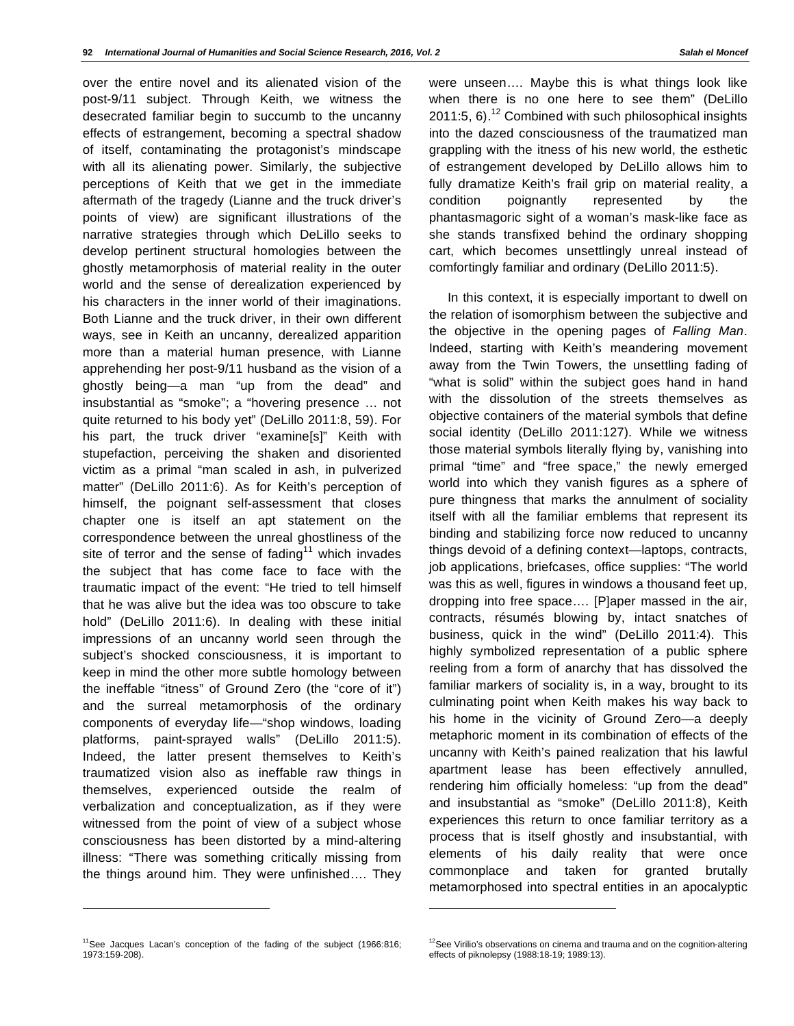over the entire novel and its alienated vision of the post-9/11 subject. Through Keith, we witness the desecrated familiar begin to succumb to the uncanny effects of estrangement, becoming a spectral shadow of itself, contaminating the protagonist's mindscape with all its alienating power. Similarly, the subjective perceptions of Keith that we get in the immediate aftermath of the tragedy (Lianne and the truck driver's points of view) are significant illustrations of the narrative strategies through which DeLillo seeks to develop pertinent structural homologies between the ghostly metamorphosis of material reality in the outer world and the sense of derealization experienced by his characters in the inner world of their imaginations. Both Lianne and the truck driver, in their own different ways, see in Keith an uncanny, derealized apparition more than a material human presence, with Lianne apprehending her post-9/11 husband as the vision of a ghostly being—a man "up from the dead" and insubstantial as "smoke"; a "hovering presence … not quite returned to his body yet" (DeLillo 2011:8, 59). For his part, the truck driver "examine[s]" Keith with stupefaction, perceiving the shaken and disoriented victim as a primal "man scaled in ash, in pulverized matter" (DeLillo 2011:6). As for Keith's perception of himself, the poignant self-assessment that closes chapter one is itself an apt statement on the correspondence between the unreal ghostliness of the site of terror and the sense of fading<sup>11</sup> which invades the subject that has come face to face with the traumatic impact of the event: "He tried to tell himself that he was alive but the idea was too obscure to take hold" (DeLillo 2011:6). In dealing with these initial impressions of an uncanny world seen through the subject's shocked consciousness, it is important to keep in mind the other more subtle homology between the ineffable "itness" of Ground Zero (the "core of it") and the surreal metamorphosis of the ordinary components of everyday life—"shop windows, loading platforms, paint-sprayed walls" (DeLillo 2011:5). Indeed, the latter present themselves to Keith's traumatized vision also as ineffable raw things in themselves, experienced outside the realm of verbalization and conceptualization, as if they were witnessed from the point of view of a subject whose consciousness has been distorted by a mind-altering illness: "There was something critically missing from the things around him. They were unfinished…. They

<sup>11</sup>See Jacques Lacan's conception of the fading of the subject (1966:816; 1973:159-208).

l

were unseen…. Maybe this is what things look like when there is no one here to see them" (DeLillo 2011:5, 6). $12$  Combined with such philosophical insights into the dazed consciousness of the traumatized man grappling with the itness of his new world, the esthetic of estrangement developed by DeLillo allows him to fully dramatize Keith's frail grip on material reality, a condition poignantly represented by the phantasmagoric sight of a woman's mask-like face as she stands transfixed behind the ordinary shopping cart, which becomes unsettlingly unreal instead of comfortingly familiar and ordinary (DeLillo 2011:5).

In this context, it is especially important to dwell on the relation of isomorphism between the subjective and the objective in the opening pages of *Falling Man*. Indeed, starting with Keith's meandering movement away from the Twin Towers, the unsettling fading of "what is solid" within the subject goes hand in hand with the dissolution of the streets themselves as objective containers of the material symbols that define social identity (DeLillo 2011:127). While we witness those material symbols literally flying by, vanishing into primal "time" and "free space," the newly emerged world into which they vanish figures as a sphere of pure thingness that marks the annulment of sociality itself with all the familiar emblems that represent its binding and stabilizing force now reduced to uncanny things devoid of a defining context—laptops, contracts, job applications, briefcases, office supplies: "The world was this as well, figures in windows a thousand feet up, dropping into free space…. [P]aper massed in the air, contracts, résumés blowing by, intact snatches of business, quick in the wind" (DeLillo 2011:4). This highly symbolized representation of a public sphere reeling from a form of anarchy that has dissolved the familiar markers of sociality is, in a way, brought to its culminating point when Keith makes his way back to his home in the vicinity of Ground Zero—a deeply metaphoric moment in its combination of effects of the uncanny with Keith's pained realization that his lawful apartment lease has been effectively annulled, rendering him officially homeless: "up from the dead" and insubstantial as "smoke" (DeLillo 2011:8), Keith experiences this return to once familiar territory as a process that is itself ghostly and insubstantial, with elements of his daily reality that were once commonplace and taken for granted brutally metamorphosed into spectral entities in an apocalyptic

 $12$ See Virilio's observations on cinema and trauma and on the cognition-altering effects of piknolepsy (1988:18-19; 1989:13).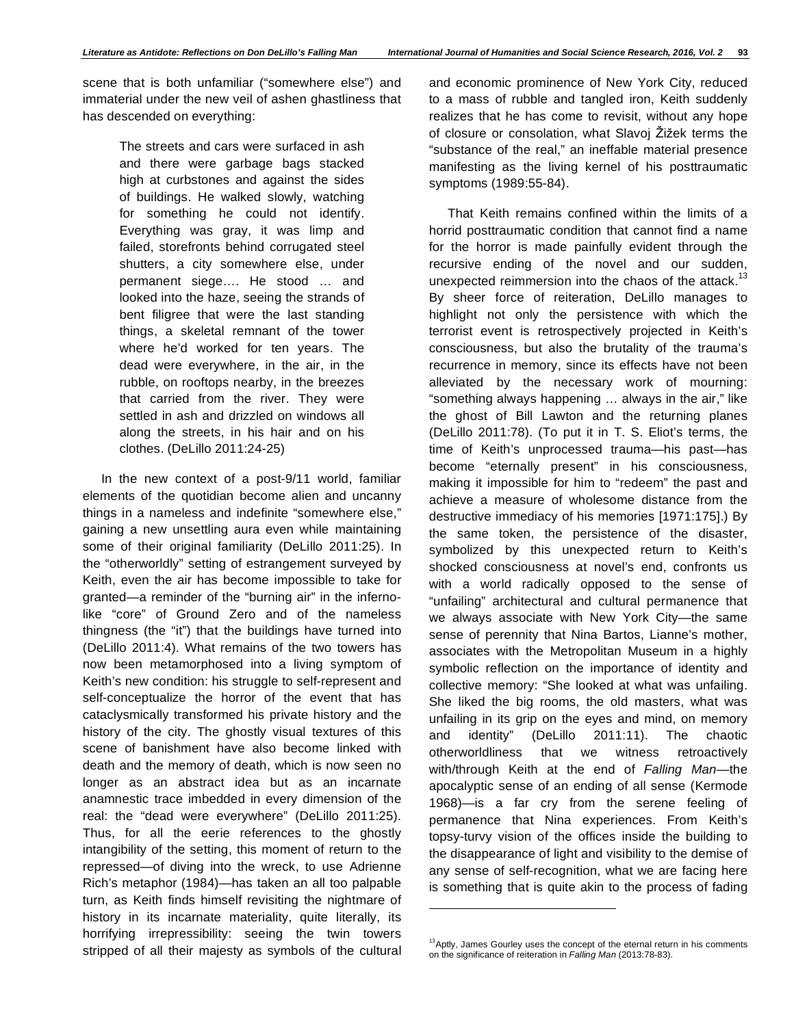scene that is both unfamiliar ("somewhere else") and immaterial under the new veil of ashen ghastliness that has descended on everything:

> The streets and cars were surfaced in ash and there were garbage bags stacked high at curbstones and against the sides of buildings. He walked slowly, watching for something he could not identify. Everything was gray, it was limp and failed, storefronts behind corrugated steel shutters, a city somewhere else, under permanent siege…. He stood … and looked into the haze, seeing the strands of bent filigree that were the last standing things, a skeletal remnant of the tower where he'd worked for ten years. The dead were everywhere, in the air, in the rubble, on rooftops nearby, in the breezes that carried from the river. They were settled in ash and drizzled on windows all along the streets, in his hair and on his clothes. (DeLillo 2011:24-25)

In the new context of a post-9/11 world, familiar elements of the quotidian become alien and uncanny things in a nameless and indefinite "somewhere else," gaining a new unsettling aura even while maintaining some of their original familiarity (DeLillo 2011:25). In the "otherworldly" setting of estrangement surveyed by Keith, even the air has become impossible to take for granted—a reminder of the "burning air" in the infernolike "core" of Ground Zero and of the nameless thingness (the "it") that the buildings have turned into (DeLillo 2011:4). What remains of the two towers has now been metamorphosed into a living symptom of Keith's new condition: his struggle to self-represent and self-conceptualize the horror of the event that has cataclysmically transformed his private history and the history of the city. The ghostly visual textures of this scene of banishment have also become linked with death and the memory of death, which is now seen no longer as an abstract idea but as an incarnate anamnestic trace imbedded in every dimension of the real: the "dead were everywhere" (DeLillo 2011:25). Thus, for all the eerie references to the ghostly intangibility of the setting, this moment of return to the repressed—of diving into the wreck, to use Adrienne Rich's metaphor (1984)—has taken an all too palpable turn, as Keith finds himself revisiting the nightmare of history in its incarnate materiality, quite literally, its horrifying irrepressibility: seeing the twin towers stripped of all their majesty as symbols of the cultural and economic prominence of New York City, reduced to a mass of rubble and tangled iron, Keith suddenly realizes that he has come to revisit, without any hope of closure or consolation, what Slavoj Žižek terms the "substance of the real," an ineffable material presence manifesting as the living kernel of his posttraumatic symptoms (1989:55-84).

That Keith remains confined within the limits of a horrid posttraumatic condition that cannot find a name for the horror is made painfully evident through the recursive ending of the novel and our sudden, unexpected reimmersion into the chaos of the attack.<sup>13</sup> By sheer force of reiteration, DeLillo manages to highlight not only the persistence with which the terrorist event is retrospectively projected in Keith's consciousness, but also the brutality of the trauma's recurrence in memory, since its effects have not been alleviated by the necessary work of mourning: "something always happening … always in the air," like the ghost of Bill Lawton and the returning planes (DeLillo 2011:78). (To put it in T. S. Eliot's terms, the time of Keith's unprocessed trauma—his past—has become "eternally present" in his consciousness, making it impossible for him to "redeem" the past and achieve a measure of wholesome distance from the destructive immediacy of his memories [1971:175].) By the same token, the persistence of the disaster, symbolized by this unexpected return to Keith's shocked consciousness at novel's end, confronts us with a world radically opposed to the sense of "unfailing" architectural and cultural permanence that we always associate with New York City—the same sense of perennity that Nina Bartos, Lianne's mother, associates with the Metropolitan Museum in a highly symbolic reflection on the importance of identity and collective memory: "She looked at what was unfailing. She liked the big rooms, the old masters, what was unfailing in its grip on the eyes and mind, on memory and identity" (DeLillo 2011:11). The chaotic otherworldliness that we witness retroactively with/through Keith at the end of *Falling Man*—the apocalyptic sense of an ending of all sense (Kermode 1968)—is a far cry from the serene feeling of permanence that Nina experiences. From Keith's topsy-turvy vision of the offices inside the building to the disappearance of light and visibility to the demise of any sense of self-recognition, what we are facing here is something that is quite akin to the process of fading

 $13$ Aptly, James Gourley uses the concept of the eternal return in his comments on the significance of reiteration in *Falling Man* (2013:78-83).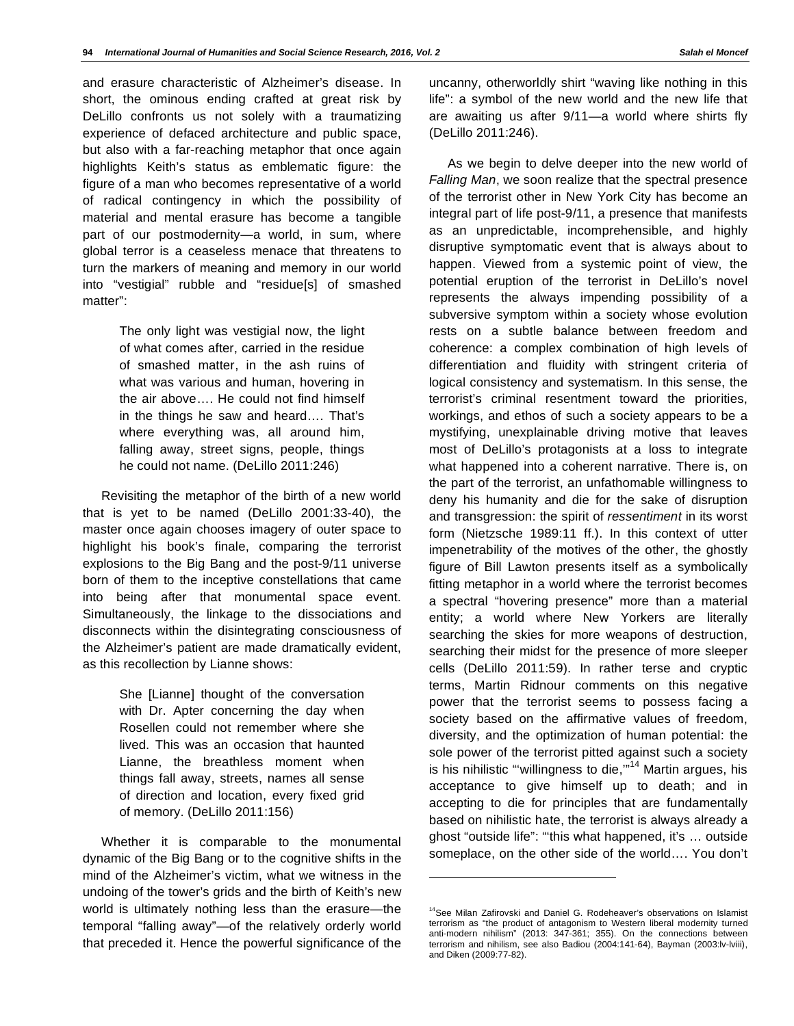and erasure characteristic of Alzheimer's disease. In short, the ominous ending crafted at great risk by DeLillo confronts us not solely with a traumatizing experience of defaced architecture and public space, but also with a far-reaching metaphor that once again highlights Keith's status as emblematic figure: the figure of a man who becomes representative of a world of radical contingency in which the possibility of material and mental erasure has become a tangible part of our postmodernity—a world, in sum, where global terror is a ceaseless menace that threatens to turn the markers of meaning and memory in our world into "vestigial" rubble and "residue[s] of smashed matter":

> The only light was vestigial now, the light of what comes after, carried in the residue of smashed matter, in the ash ruins of what was various and human, hovering in the air above…. He could not find himself in the things he saw and heard…. That's where everything was, all around him, falling away, street signs, people, things he could not name. (DeLillo 2011:246)

Revisiting the metaphor of the birth of a new world that is yet to be named (DeLillo 2001:33-40), the master once again chooses imagery of outer space to highlight his book's finale, comparing the terrorist explosions to the Big Bang and the post-9/11 universe born of them to the inceptive constellations that came into being after that monumental space event. Simultaneously, the linkage to the dissociations and disconnects within the disintegrating consciousness of the Alzheimer's patient are made dramatically evident, as this recollection by Lianne shows:

> She [Lianne] thought of the conversation with Dr. Apter concerning the day when Rosellen could not remember where she lived. This was an occasion that haunted Lianne, the breathless moment when things fall away, streets, names all sense of direction and location, every fixed grid of memory. (DeLillo 2011:156)

Whether it is comparable to the monumental dynamic of the Big Bang or to the cognitive shifts in the mind of the Alzheimer's victim, what we witness in the undoing of the tower's grids and the birth of Keith's new world is ultimately nothing less than the erasure—the temporal "falling away"—of the relatively orderly world that preceded it. Hence the powerful significance of the

uncanny, otherworldly shirt "waving like nothing in this life": a symbol of the new world and the new life that are awaiting us after 9/11—a world where shirts fly (DeLillo 2011:246).

As we begin to delve deeper into the new world of *Falling Man*, we soon realize that the spectral presence of the terrorist other in New York City has become an integral part of life post-9/11, a presence that manifests as an unpredictable, incomprehensible, and highly disruptive symptomatic event that is always about to happen. Viewed from a systemic point of view, the potential eruption of the terrorist in DeLillo's novel represents the always impending possibility of a subversive symptom within a society whose evolution rests on a subtle balance between freedom and coherence: a complex combination of high levels of differentiation and fluidity with stringent criteria of logical consistency and systematism. In this sense, the terrorist's criminal resentment toward the priorities, workings, and ethos of such a society appears to be a mystifying, unexplainable driving motive that leaves most of DeLillo's protagonists at a loss to integrate what happened into a coherent narrative. There is, on the part of the terrorist, an unfathomable willingness to deny his humanity and die for the sake of disruption and transgression: the spirit of *ressentiment* in its worst form (Nietzsche 1989:11 ff.). In this context of utter impenetrability of the motives of the other, the ghostly figure of Bill Lawton presents itself as a symbolically fitting metaphor in a world where the terrorist becomes a spectral "hovering presence" more than a material entity; a world where New Yorkers are literally searching the skies for more weapons of destruction, searching their midst for the presence of more sleeper cells (DeLillo 2011:59). In rather terse and cryptic terms, Martin Ridnour comments on this negative power that the terrorist seems to possess facing a society based on the affirmative values of freedom, diversity, and the optimization of human potential: the sole power of the terrorist pitted against such a society is his nihilistic ""willingness to die, $m<sup>14</sup>$  Martin argues, his acceptance to give himself up to death; and in accepting to die for principles that are fundamentally based on nihilistic hate, the terrorist is always already a ghost "outside life": "'this what happened, it's … outside someplace, on the other side of the world…. You don't

<sup>&</sup>lt;sup>14</sup>See Milan Zafirovski and Daniel G. Rodeheaver's observations on Islamist terrorism as "the product of antagonism to Western liberal modernity turned anti-modern nihilism" (2013: 347-361; 355). On the connections between terrorism and nihilism, see also Badiou (2004:141-64), Bayman (2003:lv-lviii), and Diken (2009:77-82).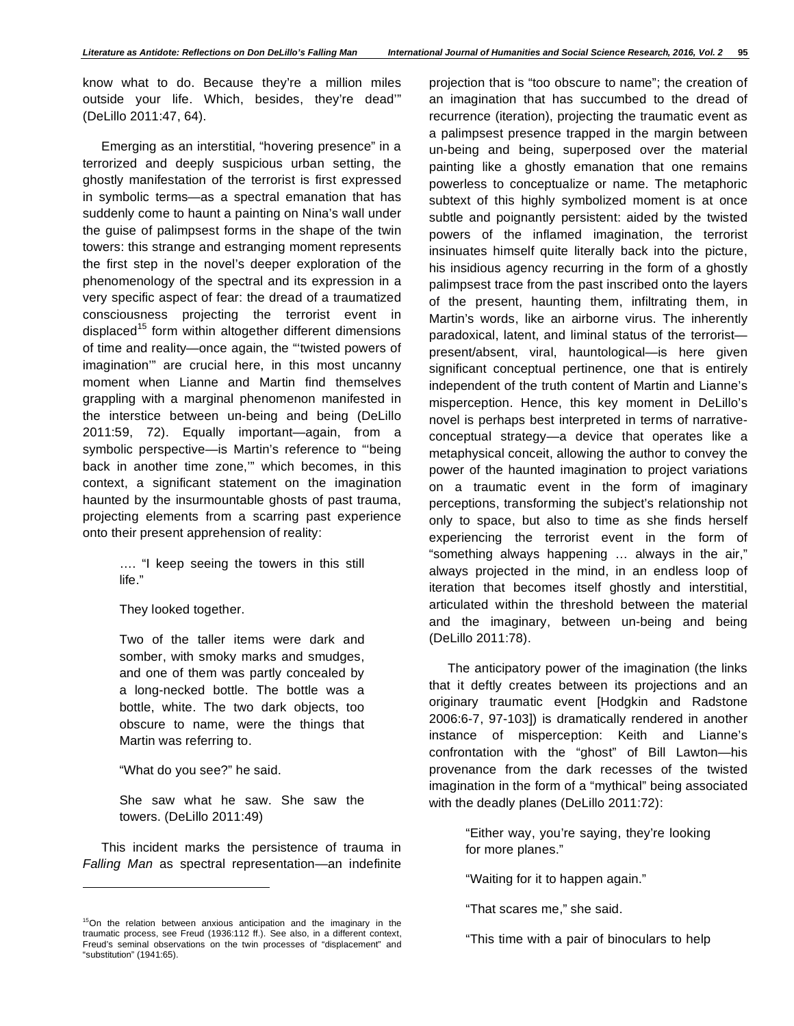*Literature as Antidote: Reflections on Don DeLillo's Falling Man International Journal of Humanities and Social Science Research, 2016, Vol. 2* **95**

know what to do. Because they're a million miles outside your life. Which, besides, they're dead'" (DeLillo 2011:47, 64).

Emerging as an interstitial, "hovering presence" in a terrorized and deeply suspicious urban setting, the ghostly manifestation of the terrorist is first expressed in symbolic terms—as a spectral emanation that has suddenly come to haunt a painting on Nina's wall under the guise of palimpsest forms in the shape of the twin towers: this strange and estranging moment represents the first step in the novel's deeper exploration of the phenomenology of the spectral and its expression in a very specific aspect of fear: the dread of a traumatized consciousness projecting the terrorist event in displaced<sup>15</sup> form within altogether different dimensions of time and reality—once again, the "'twisted powers of imagination'" are crucial here, in this most uncanny moment when Lianne and Martin find themselves grappling with a marginal phenomenon manifested in the interstice between un-being and being (DeLillo 2011:59, 72). Equally important—again, from a symbolic perspective—is Martin's reference to "'being back in another time zone,'" which becomes, in this context, a significant statement on the imagination haunted by the insurmountable ghosts of past trauma, projecting elements from a scarring past experience onto their present apprehension of reality:

> …. "I keep seeing the towers in this still life."

They looked together.

Two of the taller items were dark and somber, with smoky marks and smudges, and one of them was partly concealed by a long-necked bottle. The bottle was a bottle, white. The two dark objects, too obscure to name, were the things that Martin was referring to.

"What do you see?" he said.

l

She saw what he saw. She saw the towers. (DeLillo 2011:49)

This incident marks the persistence of trauma in *Falling Man* as spectral representation—an indefinite

projection that is "too obscure to name"; the creation of an imagination that has succumbed to the dread of recurrence (iteration), projecting the traumatic event as a palimpsest presence trapped in the margin between un-being and being, superposed over the material painting like a ghostly emanation that one remains powerless to conceptualize or name. The metaphoric subtext of this highly symbolized moment is at once subtle and poignantly persistent: aided by the twisted powers of the inflamed imagination, the terrorist insinuates himself quite literally back into the picture, his insidious agency recurring in the form of a ghostly palimpsest trace from the past inscribed onto the layers of the present, haunting them, infiltrating them, in Martin's words, like an airborne virus. The inherently paradoxical, latent, and liminal status of the terrorist present/absent, viral, hauntological—is here given significant conceptual pertinence, one that is entirely independent of the truth content of Martin and Lianne's misperception. Hence, this key moment in DeLillo's novel is perhaps best interpreted in terms of narrativeconceptual strategy—a device that operates like a metaphysical conceit, allowing the author to convey the power of the haunted imagination to project variations on a traumatic event in the form of imaginary perceptions, transforming the subject's relationship not only to space, but also to time as she finds herself experiencing the terrorist event in the form of "something always happening … always in the air," always projected in the mind, in an endless loop of iteration that becomes itself ghostly and interstitial, articulated within the threshold between the material and the imaginary, between un-being and being (DeLillo 2011:78).

The anticipatory power of the imagination (the links that it deftly creates between its projections and an originary traumatic event [Hodgkin and Radstone 2006:6-7, 97-103]) is dramatically rendered in another instance of misperception: Keith and Lianne's confrontation with the "ghost" of Bill Lawton—his provenance from the dark recesses of the twisted imagination in the form of a "mythical" being associated with the deadly planes (DeLillo 2011:72):

> "Either way, you're saying, they're looking for more planes."

"Waiting for it to happen again."

"That scares me," she said.

<sup>&</sup>lt;sup>15</sup>On the relation between anxious anticipation and the imaginary in the traumatic process, see Freud (1936:112 ff.). See also, in a different context, Freud's seminal observations on the twin processes of "displacement" and "substitution" (1941:65).

<sup>&</sup>quot;This time with a pair of binoculars to help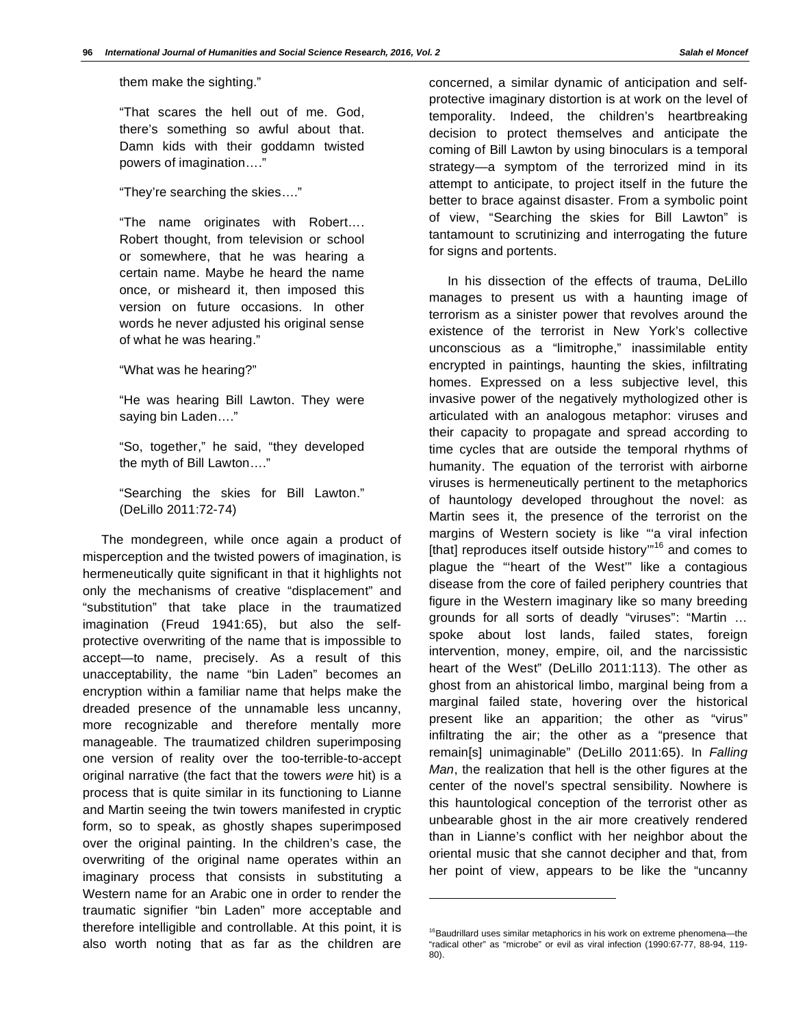them make the sighting."

"That scares the hell out of me. God, there's something so awful about that. Damn kids with their goddamn twisted powers of imagination…."

"They're searching the skies…."

"The name originates with Robert…. Robert thought, from television or school or somewhere, that he was hearing a certain name. Maybe he heard the name once, or misheard it, then imposed this version on future occasions. In other words he never adjusted his original sense of what he was hearing."

"What was he hearing?"

"He was hearing Bill Lawton. They were saying bin Laden…."

"So, together," he said, "they developed the myth of Bill Lawton…."

"Searching the skies for Bill Lawton." (DeLillo 2011:72-74)

The mondegreen, while once again a product of misperception and the twisted powers of imagination, is hermeneutically quite significant in that it highlights not only the mechanisms of creative "displacement" and "substitution" that take place in the traumatized imagination (Freud 1941:65), but also the selfprotective overwriting of the name that is impossible to accept—to name, precisely. As a result of this unacceptability, the name "bin Laden" becomes an encryption within a familiar name that helps make the dreaded presence of the unnamable less uncanny, more recognizable and therefore mentally more manageable. The traumatized children superimposing one version of reality over the too-terrible-to-accept original narrative (the fact that the towers *were* hit) is a process that is quite similar in its functioning to Lianne and Martin seeing the twin towers manifested in cryptic form, so to speak, as ghostly shapes superimposed over the original painting. In the children's case, the overwriting of the original name operates within an imaginary process that consists in substituting a Western name for an Arabic one in order to render the traumatic signifier "bin Laden" more acceptable and therefore intelligible and controllable. At this point, it is also worth noting that as far as the children are

concerned, a similar dynamic of anticipation and selfprotective imaginary distortion is at work on the level of temporality. Indeed, the children's heartbreaking decision to protect themselves and anticipate the coming of Bill Lawton by using binoculars is a temporal strategy—a symptom of the terrorized mind in its attempt to anticipate, to project itself in the future the better to brace against disaster. From a symbolic point of view, "Searching the skies for Bill Lawton" is tantamount to scrutinizing and interrogating the future for signs and portents.

In his dissection of the effects of trauma, DeLillo manages to present us with a haunting image of terrorism as a sinister power that revolves around the existence of the terrorist in New York's collective unconscious as a "limitrophe," inassimilable entity encrypted in paintings, haunting the skies, infiltrating homes. Expressed on a less subjective level, this invasive power of the negatively mythologized other is articulated with an analogous metaphor: viruses and their capacity to propagate and spread according to time cycles that are outside the temporal rhythms of humanity. The equation of the terrorist with airborne viruses is hermeneutically pertinent to the metaphorics of hauntology developed throughout the novel: as Martin sees it, the presence of the terrorist on the margins of Western society is like "'a viral infection [that] reproduces itself outside history"<sup>16</sup> and comes to plague the "'heart of the West'" like a contagious disease from the core of failed periphery countries that figure in the Western imaginary like so many breeding grounds for all sorts of deadly "viruses": "Martin … spoke about lost lands, failed states, foreign intervention, money, empire, oil, and the narcissistic heart of the West" (DeLillo 2011:113). The other as ghost from an ahistorical limbo, marginal being from a marginal failed state, hovering over the historical present like an apparition; the other as "virus" infiltrating the air; the other as a "presence that remain[s] unimaginable" (DeLillo 2011:65). In *Falling Man*, the realization that hell is the other figures at the center of the novel's spectral sensibility. Nowhere is this hauntological conception of the terrorist other as unbearable ghost in the air more creatively rendered than in Lianne's conflict with her neighbor about the oriental music that she cannot decipher and that, from her point of view, appears to be like the "uncanny

<sup>&</sup>lt;sup>16</sup>Baudrillard uses similar metaphorics in his work on extreme phenomena-the "radical other" as "microbe" or evil as viral infection (1990:67-77, 88-94, 119- 80).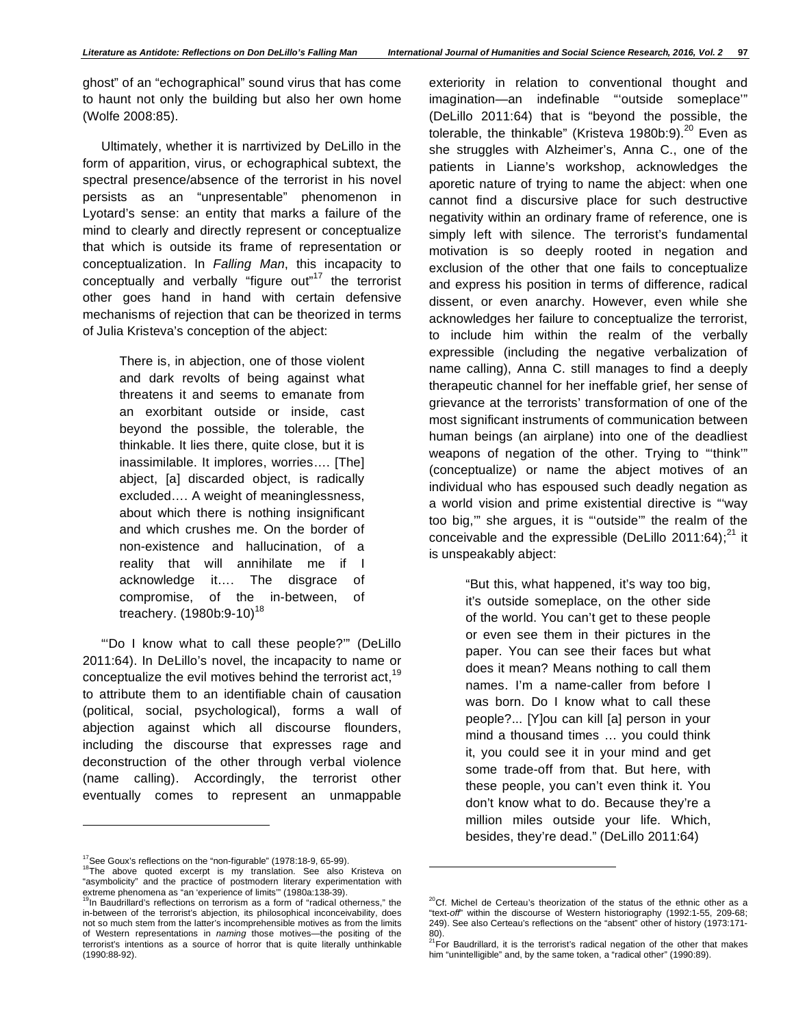ghost" of an "echographical" sound virus that has come to haunt not only the building but also her own home (Wolfe 2008:85).

Ultimately, whether it is narrtivized by DeLillo in the form of apparition, virus, or echographical subtext, the spectral presence/absence of the terrorist in his novel persists as an "unpresentable" phenomenon in Lyotard's sense: an entity that marks a failure of the mind to clearly and directly represent or conceptualize that which is outside its frame of representation or conceptualization. In *Falling Man*, this incapacity to conceptually and verbally "figure out"<sup>17</sup> the terrorist other goes hand in hand with certain defensive mechanisms of rejection that can be theorized in terms of Julia Kristeva's conception of the abject:

> There is, in abjection, one of those violent and dark revolts of being against what threatens it and seems to emanate from an exorbitant outside or inside, cast beyond the possible, the tolerable, the thinkable. It lies there, quite close, but it is inassimilable. It implores, worries…. [The] abject, [a] discarded object, is radically excluded…. A weight of meaninglessness, about which there is nothing insignificant and which crushes me. On the border of non-existence and hallucination, of a reality that will annihilate me if I acknowledge it…. The disgrace of compromise, of the in-between, of treachery. (1980b:9-10)<sup>18</sup>

"'Do I know what to call these people?'" (DeLillo 2011:64). In DeLillo's novel, the incapacity to name or conceptualize the evil motives behind the terrorist act,<sup>19</sup> to attribute them to an identifiable chain of causation (political, social, psychological), forms a wall of abjection against which all discourse flounders, including the discourse that expresses rage and deconstruction of the other through verbal violence (name calling). Accordingly, the terrorist other eventually comes to represent an unmappable

l

exteriority in relation to conventional thought and imagination—an indefinable "'outside someplace'" (DeLillo 2011:64) that is "beyond the possible, the tolerable, the thinkable" (Kristeva 1980b:9). $^{20}$  Even as she struggles with Alzheimer's, Anna C., one of the patients in Lianne's workshop, acknowledges the aporetic nature of trying to name the abject: when one cannot find a discursive place for such destructive negativity within an ordinary frame of reference, one is simply left with silence. The terrorist's fundamental motivation is so deeply rooted in negation and exclusion of the other that one fails to conceptualize and express his position in terms of difference, radical dissent, or even anarchy. However, even while she acknowledges her failure to conceptualize the terrorist, to include him within the realm of the verbally expressible (including the negative verbalization of name calling), Anna C. still manages to find a deeply therapeutic channel for her ineffable grief, her sense of grievance at the terrorists' transformation of one of the most significant instruments of communication between human beings (an airplane) into one of the deadliest weapons of negation of the other. Trying to "'think'" (conceptualize) or name the abject motives of an individual who has espoused such deadly negation as a world vision and prime existential directive is "'way too big,'" she argues, it is "'outside'" the realm of the conceivable and the expressible (DeLillo 2011:64);<sup>21</sup> it is unspeakably abject:

> "But this, what happened, it's way too big, it's outside someplace, on the other side of the world. You can't get to these people or even see them in their pictures in the paper. You can see their faces but what does it mean? Means nothing to call them names. I'm a name-caller from before I was born. Do I know what to call these people?... [Y]ou can kill [a] person in your mind a thousand times … you could think it, you could see it in your mind and get some trade-off from that. But here, with these people, you can't even think it. You don't know what to do. Because they're a million miles outside your life. Which, besides, they're dead." (DeLillo 2011:64)

 $\overline{a}$ 

<sup>&</sup>lt;sup>17</sup>See Goux's reflections on the "non-figurable" (1978:18-9, 65-99).<br><sup>18</sup>The above quoted excerpt is my translation. See also Kristeva on "asymbolicity" and the practice of postmodern literary experimentation with extreme phenomena as "an 'experience of limits'" (1980a:138-39).

In Baudrillard's reflections on terrorism as a form of "radical otherness," the in-between of the terrorist's abjection, its philosophical inconceivability, does not so much stem from the latter's incomprehensible motives as from the limits of Western representations in *naming* those motives—the positing of the terrorist's intentions as a source of horror that is quite literally unthinkable (1990:88-92).

 $20$ Cf. Michel de Certeau's theorization of the status of the ethnic other as a "text-*off*" within the discourse of Western historiography (1992:1-55, 209-68; 249). See also Certeau's reflections on the "absent" other of history (1973:171- 80).

 $21$  For Baudrillard, it is the terrorist's radical negation of the other that makes him "unintelligible" and, by the same token, a "radical other" (1990:89).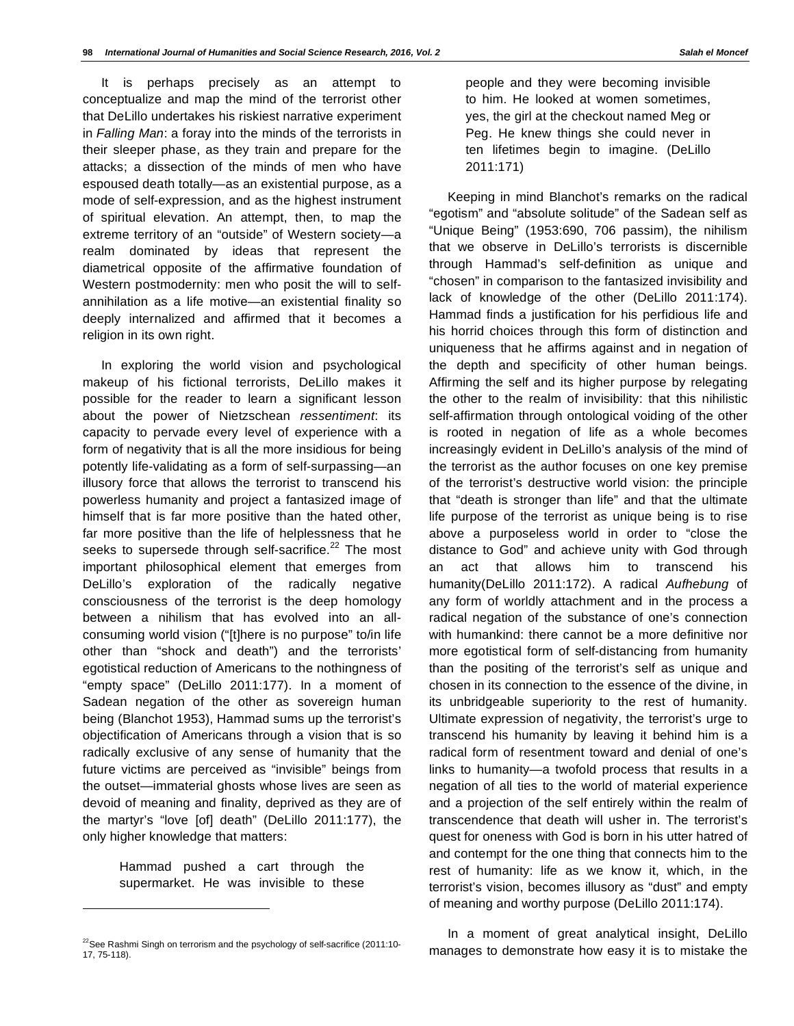It is perhaps precisely as an attempt to conceptualize and map the mind of the terrorist other that DeLillo undertakes his riskiest narrative experiment in *Falling Man*: a foray into the minds of the terrorists in their sleeper phase, as they train and prepare for the attacks; a dissection of the minds of men who have espoused death totally—as an existential purpose, as a mode of self-expression, and as the highest instrument of spiritual elevation. An attempt, then, to map the extreme territory of an "outside" of Western society—a realm dominated by ideas that represent the diametrical opposite of the affirmative foundation of Western postmodernity: men who posit the will to selfannihilation as a life motive—an existential finality so deeply internalized and affirmed that it becomes a religion in its own right.

In exploring the world vision and psychological makeup of his fictional terrorists, DeLillo makes it possible for the reader to learn a significant lesson about the power of Nietzschean *ressentiment*: its capacity to pervade every level of experience with a form of negativity that is all the more insidious for being potently life-validating as a form of self-surpassing—an illusory force that allows the terrorist to transcend his powerless humanity and project a fantasized image of himself that is far more positive than the hated other, far more positive than the life of helplessness that he seeks to supersede through self-sacrifice.<sup>22</sup> The most important philosophical element that emerges from DeLillo's exploration of the radically negative consciousness of the terrorist is the deep homology between a nihilism that has evolved into an allconsuming world vision ("[t]here is no purpose" to/in life other than "shock and death") and the terrorists' egotistical reduction of Americans to the nothingness of "empty space" (DeLillo 2011:177). In a moment of Sadean negation of the other as sovereign human being (Blanchot 1953), Hammad sums up the terrorist's objectification of Americans through a vision that is so radically exclusive of any sense of humanity that the future victims are perceived as "invisible" beings from the outset—immaterial ghosts whose lives are seen as devoid of meaning and finality, deprived as they are of the martyr's "love [of] death" (DeLillo 2011:177), the only higher knowledge that matters:

> Hammad pushed a cart through the supermarket. He was invisible to these

l

people and they were becoming invisible to him. He looked at women sometimes, yes, the girl at the checkout named Meg or Peg. He knew things she could never in ten lifetimes begin to imagine. (DeLillo 2011:171)

Keeping in mind Blanchot's remarks on the radical "egotism" and "absolute solitude" of the Sadean self as "Unique Being" (1953:690, 706 passim), the nihilism that we observe in DeLillo's terrorists is discernible through Hammad's self-definition as unique and "chosen" in comparison to the fantasized invisibility and lack of knowledge of the other (DeLillo 2011:174). Hammad finds a justification for his perfidious life and his horrid choices through this form of distinction and uniqueness that he affirms against and in negation of the depth and specificity of other human beings. Affirming the self and its higher purpose by relegating the other to the realm of invisibility: that this nihilistic self-affirmation through ontological voiding of the other is rooted in negation of life as a whole becomes increasingly evident in DeLillo's analysis of the mind of the terrorist as the author focuses on one key premise of the terrorist's destructive world vision: the principle that "death is stronger than life" and that the ultimate life purpose of the terrorist as unique being is to rise above a purposeless world in order to "close the distance to God" and achieve unity with God through an act that allows him to transcend his humanity(DeLillo 2011:172). A radical *Aufhebung* of any form of worldly attachment and in the process a radical negation of the substance of one's connection with humankind: there cannot be a more definitive nor more egotistical form of self-distancing from humanity than the positing of the terrorist's self as unique and chosen in its connection to the essence of the divine, in its unbridgeable superiority to the rest of humanity. Ultimate expression of negativity, the terrorist's urge to transcend his humanity by leaving it behind him is a radical form of resentment toward and denial of one's links to humanity—a twofold process that results in a negation of all ties to the world of material experience and a projection of the self entirely within the realm of transcendence that death will usher in. The terrorist's quest for oneness with God is born in his utter hatred of and contempt for the one thing that connects him to the rest of humanity: life as we know it, which, in the terrorist's vision, becomes illusory as "dust" and empty of meaning and worthy purpose (DeLillo 2011:174).

In a moment of great analytical insight, DeLillo manages to demonstrate how easy it is to mistake the

 $^{22}$ See Rashmi Singh on terrorism and the psychology of self-sacrifice (2011:10-17, 75-118).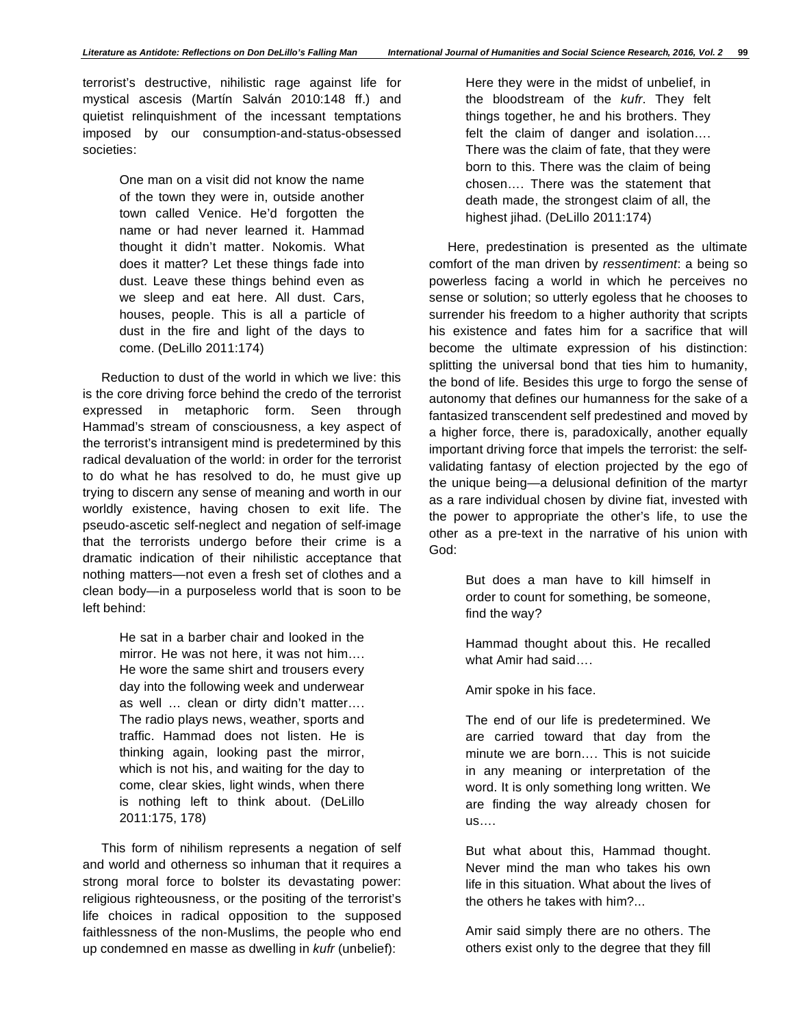terrorist's destructive, nihilistic rage against life for mystical ascesis (Martín Salván 2010:148 ff.) and quietist relinquishment of the incessant temptations imposed by our consumption-and-status-obsessed societies:

> One man on a visit did not know the name of the town they were in, outside another town called Venice. He'd forgotten the name or had never learned it. Hammad thought it didn't matter. Nokomis. What does it matter? Let these things fade into dust. Leave these things behind even as we sleep and eat here. All dust. Cars, houses, people. This is all a particle of dust in the fire and light of the days to come. (DeLillo 2011:174)

Reduction to dust of the world in which we live: this is the core driving force behind the credo of the terrorist expressed in metaphoric form. Seen through Hammad's stream of consciousness, a key aspect of the terrorist's intransigent mind is predetermined by this radical devaluation of the world: in order for the terrorist to do what he has resolved to do, he must give up trying to discern any sense of meaning and worth in our worldly existence, having chosen to exit life. The pseudo-ascetic self-neglect and negation of self-image that the terrorists undergo before their crime is a dramatic indication of their nihilistic acceptance that nothing matters—not even a fresh set of clothes and a clean body—in a purposeless world that is soon to be left behind:

> He sat in a barber chair and looked in the mirror. He was not here, it was not him…. He wore the same shirt and trousers every day into the following week and underwear as well … clean or dirty didn't matter…. The radio plays news, weather, sports and traffic. Hammad does not listen. He is thinking again, looking past the mirror, which is not his, and waiting for the day to come, clear skies, light winds, when there is nothing left to think about. (DeLillo 2011:175, 178)

This form of nihilism represents a negation of self and world and otherness so inhuman that it requires a strong moral force to bolster its devastating power: religious righteousness, or the positing of the terrorist's life choices in radical opposition to the supposed faithlessness of the non-Muslims, the people who end up condemned en masse as dwelling in *kufr* (unbelief):

Here they were in the midst of unbelief, in the bloodstream of the *kufr*. They felt things together, he and his brothers. They felt the claim of danger and isolation…. There was the claim of fate, that they were born to this. There was the claim of being chosen…. There was the statement that death made, the strongest claim of all, the highest jihad. (DeLillo 2011:174)

Here, predestination is presented as the ultimate comfort of the man driven by *ressentiment*: a being so powerless facing a world in which he perceives no sense or solution; so utterly egoless that he chooses to surrender his freedom to a higher authority that scripts his existence and fates him for a sacrifice that will become the ultimate expression of his distinction: splitting the universal bond that ties him to humanity, the bond of life. Besides this urge to forgo the sense of autonomy that defines our humanness for the sake of a fantasized transcendent self predestined and moved by a higher force, there is, paradoxically, another equally important driving force that impels the terrorist: the selfvalidating fantasy of election projected by the ego of the unique being—a delusional definition of the martyr as a rare individual chosen by divine fiat, invested with the power to appropriate the other's life, to use the other as a pre-text in the narrative of his union with God:

> But does a man have to kill himself in order to count for something, be someone, find the way?

> Hammad thought about this. He recalled what Amir had said….

Amir spoke in his face.

The end of our life is predetermined. We are carried toward that day from the minute we are born…. This is not suicide in any meaning or interpretation of the word. It is only something long written. We are finding the way already chosen for us….

But what about this, Hammad thought. Never mind the man who takes his own life in this situation. What about the lives of the others he takes with him?...

Amir said simply there are no others. The others exist only to the degree that they fill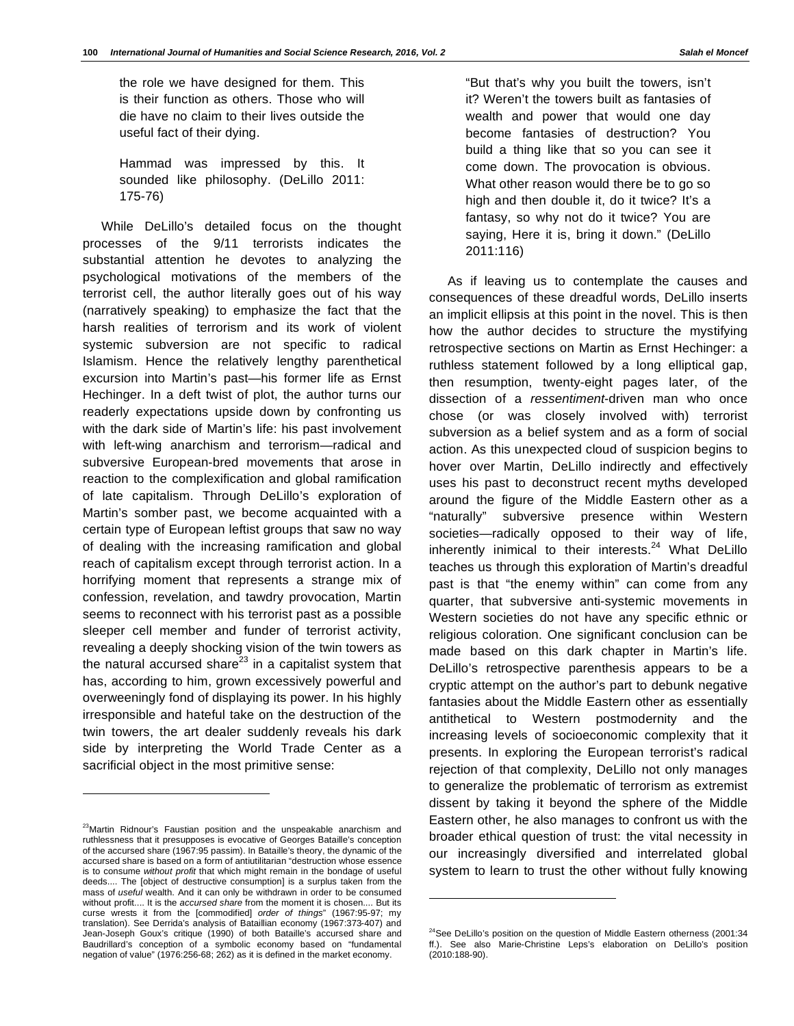the role we have designed for them. This is their function as others. Those who will die have no claim to their lives outside the useful fact of their dying.

Hammad was impressed by this. It sounded like philosophy. (DeLillo 2011: 175-76)

While DeLillo's detailed focus on the thought processes of the 9/11 terrorists indicates the substantial attention he devotes to analyzing the psychological motivations of the members of the terrorist cell, the author literally goes out of his way (narratively speaking) to emphasize the fact that the harsh realities of terrorism and its work of violent systemic subversion are not specific to radical Islamism. Hence the relatively lengthy parenthetical excursion into Martin's past—his former life as Ernst Hechinger. In a deft twist of plot, the author turns our readerly expectations upside down by confronting us with the dark side of Martin's life: his past involvement with left-wing anarchism and terrorism—radical and subversive European-bred movements that arose in reaction to the complexification and global ramification of late capitalism. Through DeLillo's exploration of Martin's somber past, we become acquainted with a certain type of European leftist groups that saw no way of dealing with the increasing ramification and global reach of capitalism except through terrorist action. In a horrifying moment that represents a strange mix of confession, revelation, and tawdry provocation, Martin seems to reconnect with his terrorist past as a possible sleeper cell member and funder of terrorist activity, revealing a deeply shocking vision of the twin towers as the natural accursed share $^{23}$  in a capitalist system that has, according to him, grown excessively powerful and overweeningly fond of displaying its power. In his highly irresponsible and hateful take on the destruction of the twin towers, the art dealer suddenly reveals his dark side by interpreting the World Trade Center as a sacrificial object in the most primitive sense:

l

"But that's why you built the towers, isn't it? Weren't the towers built as fantasies of wealth and power that would one day become fantasies of destruction? You build a thing like that so you can see it come down. The provocation is obvious. What other reason would there be to go so high and then double it, do it twice? It's a fantasy, so why not do it twice? You are saying, Here it is, bring it down." (DeLillo 2011:116)

As if leaving us to contemplate the causes and consequences of these dreadful words, DeLillo inserts an implicit ellipsis at this point in the novel. This is then how the author decides to structure the mystifying retrospective sections on Martin as Ernst Hechinger: a ruthless statement followed by a long elliptical gap, then resumption, twenty-eight pages later, of the dissection of a *ressentiment*-driven man who once chose (or was closely involved with) terrorist subversion as a belief system and as a form of social action. As this unexpected cloud of suspicion begins to hover over Martin, DeLillo indirectly and effectively uses his past to deconstruct recent myths developed around the figure of the Middle Eastern other as a "naturally" subversive presence within Western societies—radically opposed to their way of life, inherently inimical to their interests. $24$  What DeLillo teaches us through this exploration of Martin's dreadful past is that "the enemy within" can come from any quarter, that subversive anti-systemic movements in Western societies do not have any specific ethnic or religious coloration. One significant conclusion can be made based on this dark chapter in Martin's life. DeLillo's retrospective parenthesis appears to be a cryptic attempt on the author's part to debunk negative fantasies about the Middle Eastern other as essentially antithetical to Western postmodernity and the increasing levels of socioeconomic complexity that it presents. In exploring the European terrorist's radical rejection of that complexity, DeLillo not only manages to generalize the problematic of terrorism as extremist dissent by taking it beyond the sphere of the Middle Eastern other, he also manages to confront us with the broader ethical question of trust: the vital necessity in our increasingly diversified and interrelated global system to learn to trust the other without fully knowing

<sup>&</sup>lt;sup>23</sup>Martin Ridnour's Faustian position and the unspeakable anarchism and ruthlessness that it presupposes is evocative of Georges Bataille's conception of the accursed share (1967:95 passim). In Bataille's theory, the dynamic of the accursed share is based on a form of antiutilitarian "destruction whose essence is to consume *without profit* that which might remain in the bondage of useful deeds.... The [object of destructive consumption] is a surplus taken from the mass of *useful* wealth. And it can only be withdrawn in order to be consumed without profit.... It is the *accursed share* from the moment it is chosen.... But its curse wrests it from the [commodified] *order of things*" (1967:95-97; my translation). See Derrida's analysis of Bataillian economy (1967:373-407) and Jean-Joseph Goux's critique (1990) of both Bataille's accursed share and Baudrillard's conception of a symbolic economy based on "fundamental negation of value" (1976:256-68; 262) as it is defined in the market economy.

 $24$ See DeLillo's position on the question of Middle Eastern otherness (2001:34 ff.). See also Marie-Christine Leps's elaboration on DeLillo's position (2010:188-90).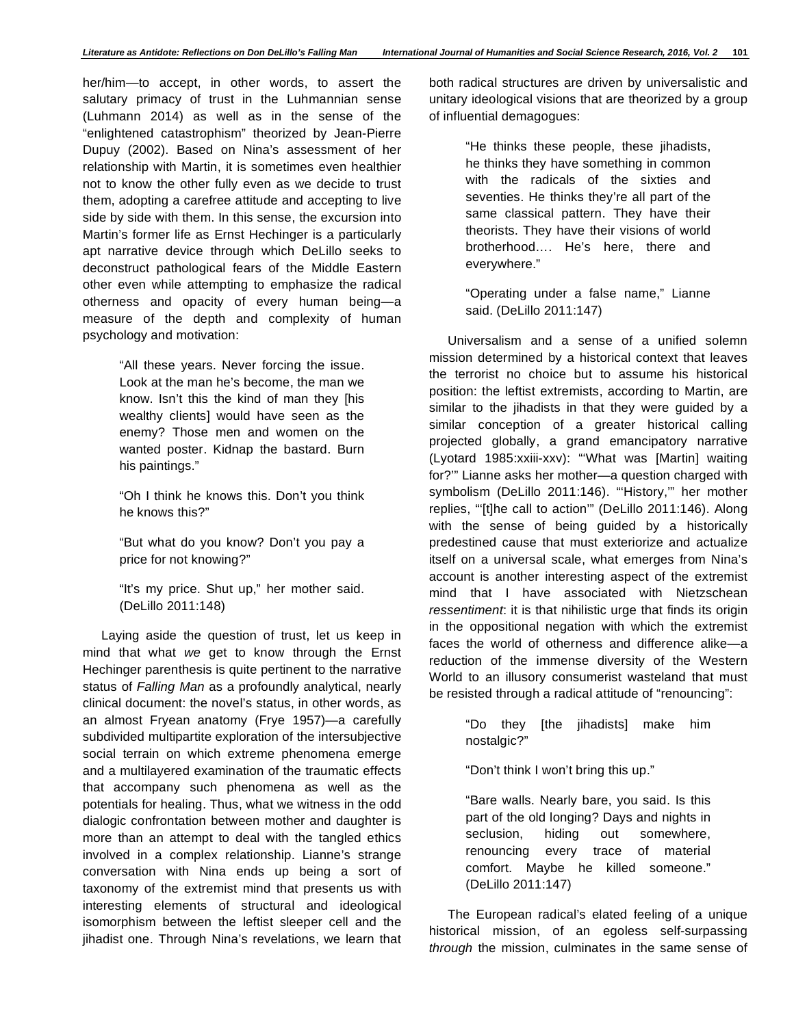her/him—to accept, in other words, to assert the salutary primacy of trust in the Luhmannian sense (Luhmann 2014) as well as in the sense of the "enlightened catastrophism" theorized by Jean-Pierre Dupuy (2002). Based on Nina's assessment of her relationship with Martin, it is sometimes even healthier not to know the other fully even as we decide to trust them, adopting a carefree attitude and accepting to live side by side with them. In this sense, the excursion into Martin's former life as Ernst Hechinger is a particularly apt narrative device through which DeLillo seeks to deconstruct pathological fears of the Middle Eastern other even while attempting to emphasize the radical otherness and opacity of every human being—a measure of the depth and complexity of human psychology and motivation:

> "All these years. Never forcing the issue. Look at the man he's become, the man we know. Isn't this the kind of man they [his wealthy clients] would have seen as the enemy? Those men and women on the wanted poster. Kidnap the bastard. Burn his paintings."

"Oh I think he knows this. Don't you think he knows this?"

"But what do you know? Don't you pay a price for not knowing?"

"It's my price. Shut up," her mother said. (DeLillo 2011:148)

Laying aside the question of trust, let us keep in mind that what *we* get to know through the Ernst Hechinger parenthesis is quite pertinent to the narrative status of *Falling Man* as a profoundly analytical, nearly clinical document: the novel's status, in other words, as an almost Fryean anatomy (Frye 1957)—a carefully subdivided multipartite exploration of the intersubjective social terrain on which extreme phenomena emerge and a multilayered examination of the traumatic effects that accompany such phenomena as well as the potentials for healing. Thus, what we witness in the odd dialogic confrontation between mother and daughter is more than an attempt to deal with the tangled ethics involved in a complex relationship. Lianne's strange conversation with Nina ends up being a sort of taxonomy of the extremist mind that presents us with interesting elements of structural and ideological isomorphism between the leftist sleeper cell and the jihadist one. Through Nina's revelations, we learn that both radical structures are driven by universalistic and unitary ideological visions that are theorized by a group of influential demagogues:

> "He thinks these people, these jihadists, he thinks they have something in common with the radicals of the sixties and seventies. He thinks they're all part of the same classical pattern. They have their theorists. They have their visions of world brotherhood…. He's here, there and everywhere."

"Operating under a false name," Lianne said. (DeLillo 2011:147)

Universalism and a sense of a unified solemn mission determined by a historical context that leaves the terrorist no choice but to assume his historical position: the leftist extremists, according to Martin, are similar to the jihadists in that they were guided by a similar conception of a greater historical calling projected globally, a grand emancipatory narrative (Lyotard 1985:xxiii-xxv): "'What was [Martin] waiting for?'" Lianne asks her mother—a question charged with symbolism (DeLillo 2011:146). "'History,'" her mother replies, "'[t]he call to action'" (DeLillo 2011:146). Along with the sense of being guided by a historically predestined cause that must exteriorize and actualize itself on a universal scale, what emerges from Nina's account is another interesting aspect of the extremist mind that I have associated with Nietzschean *ressentiment*: it is that nihilistic urge that finds its origin in the oppositional negation with which the extremist faces the world of otherness and difference alike—a reduction of the immense diversity of the Western World to an illusory consumerist wasteland that must be resisted through a radical attitude of "renouncing":

> "Do they [the jihadists] make him nostalgic?"

"Don't think I won't bring this up."

"Bare walls. Nearly bare, you said. Is this part of the old longing? Days and nights in seclusion, hiding out somewhere, renouncing every trace of material comfort. Maybe he killed someone." (DeLillo 2011:147)

The European radical's elated feeling of a unique historical mission, of an egoless self-surpassing *through* the mission, culminates in the same sense of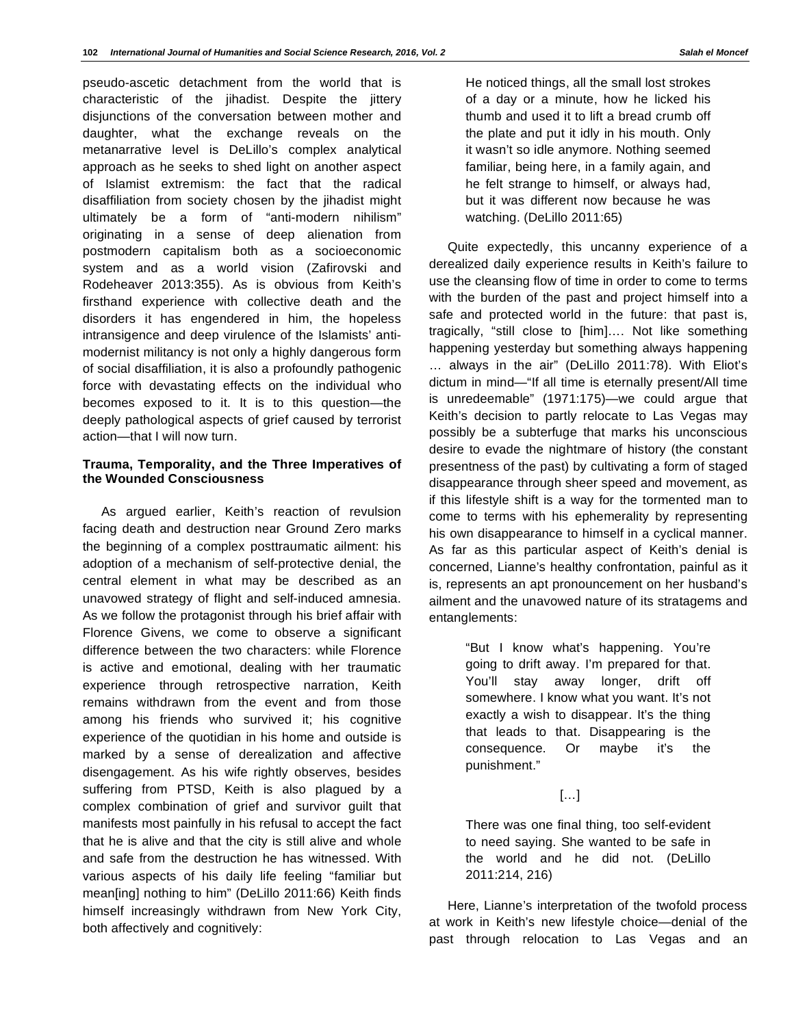pseudo-ascetic detachment from the world that is characteristic of the jihadist. Despite the jittery disjunctions of the conversation between mother and daughter, what the exchange reveals on the metanarrative level is DeLillo's complex analytical approach as he seeks to shed light on another aspect of Islamist extremism: the fact that the radical disaffiliation from society chosen by the jihadist might ultimately be a form of "anti-modern nihilism" originating in a sense of deep alienation from postmodern capitalism both as a socioeconomic system and as a world vision (Zafirovski and Rodeheaver 2013:355). As is obvious from Keith's firsthand experience with collective death and the disorders it has engendered in him, the hopeless intransigence and deep virulence of the Islamists' antimodernist militancy is not only a highly dangerous form of social disaffiliation, it is also a profoundly pathogenic force with devastating effects on the individual who becomes exposed to it. It is to this question—the deeply pathological aspects of grief caused by terrorist action—that I will now turn.

#### **Trauma, Temporality, and the Three Imperatives of the Wounded Consciousness**

As argued earlier, Keith's reaction of revulsion facing death and destruction near Ground Zero marks the beginning of a complex posttraumatic ailment: his adoption of a mechanism of self-protective denial, the central element in what may be described as an unavowed strategy of flight and self-induced amnesia. As we follow the protagonist through his brief affair with Florence Givens, we come to observe a significant difference between the two characters: while Florence is active and emotional, dealing with her traumatic experience through retrospective narration, Keith remains withdrawn from the event and from those among his friends who survived it; his cognitive experience of the quotidian in his home and outside is marked by a sense of derealization and affective disengagement. As his wife rightly observes, besides suffering from PTSD, Keith is also plagued by a complex combination of grief and survivor guilt that manifests most painfully in his refusal to accept the fact that he is alive and that the city is still alive and whole and safe from the destruction he has witnessed. With various aspects of his daily life feeling "familiar but mean[ing] nothing to him" (DeLillo 2011:66) Keith finds himself increasingly withdrawn from New York City, both affectively and cognitively:

He noticed things, all the small lost strokes of a day or a minute, how he licked his thumb and used it to lift a bread crumb off the plate and put it idly in his mouth. Only it wasn't so idle anymore. Nothing seemed familiar, being here, in a family again, and he felt strange to himself, or always had, but it was different now because he was watching. (DeLillo 2011:65)

Quite expectedly, this uncanny experience of a derealized daily experience results in Keith's failure to use the cleansing flow of time in order to come to terms with the burden of the past and project himself into a safe and protected world in the future: that past is, tragically, "still close to [him]…. Not like something happening yesterday but something always happening … always in the air" (DeLillo 2011:78). With Eliot's dictum in mind—"If all time is eternally present/All time is unredeemable" (1971:175)—we could argue that Keith's decision to partly relocate to Las Vegas may possibly be a subterfuge that marks his unconscious desire to evade the nightmare of history (the constant presentness of the past) by cultivating a form of staged disappearance through sheer speed and movement, as if this lifestyle shift is a way for the tormented man to come to terms with his ephemerality by representing his own disappearance to himself in a cyclical manner. As far as this particular aspect of Keith's denial is concerned, Lianne's healthy confrontation, painful as it is, represents an apt pronouncement on her husband's ailment and the unavowed nature of its stratagems and entanglements:

> "But I know what's happening. You're going to drift away. I'm prepared for that. You'll stay away longer, drift off somewhere. I know what you want. It's not exactly a wish to disappear. It's the thing that leads to that. Disappearing is the consequence. Or maybe it's the punishment."

> > […]

There was one final thing, too self-evident to need saying. She wanted to be safe in the world and he did not. (DeLillo 2011:214, 216)

Here, Lianne's interpretation of the twofold process at work in Keith's new lifestyle choice—denial of the past through relocation to Las Vegas and an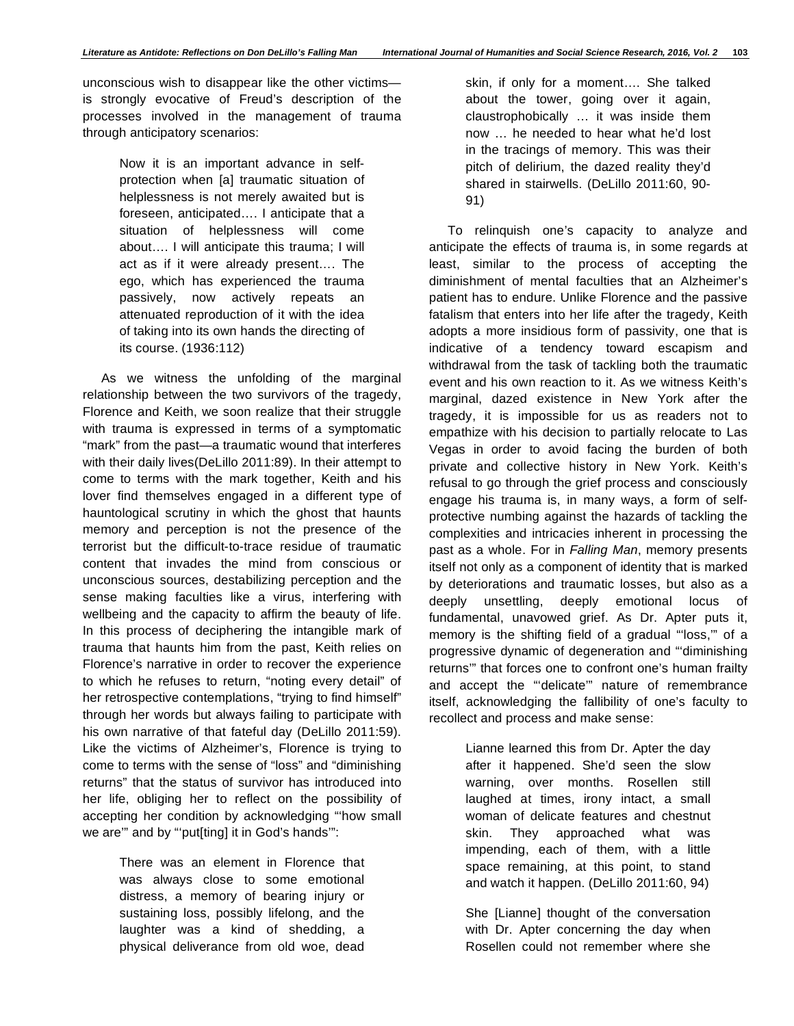unconscious wish to disappear like the other victims is strongly evocative of Freud's description of the processes involved in the management of trauma through anticipatory scenarios:

> Now it is an important advance in selfprotection when [a] traumatic situation of helplessness is not merely awaited but is foreseen, anticipated…. I anticipate that a situation of helplessness will come about…. I will anticipate this trauma; I will act as if it were already present…. The ego, which has experienced the trauma passively, now actively repeats an attenuated reproduction of it with the idea of taking into its own hands the directing of its course. (1936:112)

As we witness the unfolding of the marginal relationship between the two survivors of the tragedy, Florence and Keith, we soon realize that their struggle with trauma is expressed in terms of a symptomatic "mark" from the past—a traumatic wound that interferes with their daily lives(DeLillo 2011:89). In their attempt to come to terms with the mark together, Keith and his lover find themselves engaged in a different type of hauntological scrutiny in which the ghost that haunts memory and perception is not the presence of the terrorist but the difficult-to-trace residue of traumatic content that invades the mind from conscious or unconscious sources, destabilizing perception and the sense making faculties like a virus, interfering with wellbeing and the capacity to affirm the beauty of life. In this process of deciphering the intangible mark of trauma that haunts him from the past, Keith relies on Florence's narrative in order to recover the experience to which he refuses to return, "noting every detail" of her retrospective contemplations, "trying to find himself" through her words but always failing to participate with his own narrative of that fateful day (DeLillo 2011:59). Like the victims of Alzheimer's, Florence is trying to come to terms with the sense of "loss" and "diminishing returns" that the status of survivor has introduced into her life, obliging her to reflect on the possibility of accepting her condition by acknowledging "'how small we are'" and by "'put[ting] it in God's hands'":

> There was an element in Florence that was always close to some emotional distress, a memory of bearing injury or sustaining loss, possibly lifelong, and the laughter was a kind of shedding, a physical deliverance from old woe, dead

skin, if only for a moment…. She talked about the tower, going over it again, claustrophobically … it was inside them now … he needed to hear what he'd lost in the tracings of memory. This was their pitch of delirium, the dazed reality they'd shared in stairwells. (DeLillo 2011:60, 90- 91)

To relinquish one's capacity to analyze and anticipate the effects of trauma is, in some regards at least, similar to the process of accepting the diminishment of mental faculties that an Alzheimer's patient has to endure. Unlike Florence and the passive fatalism that enters into her life after the tragedy, Keith adopts a more insidious form of passivity, one that is indicative of a tendency toward escapism and withdrawal from the task of tackling both the traumatic event and his own reaction to it. As we witness Keith's marginal, dazed existence in New York after the tragedy, it is impossible for us as readers not to empathize with his decision to partially relocate to Las Vegas in order to avoid facing the burden of both private and collective history in New York. Keith's refusal to go through the grief process and consciously engage his trauma is, in many ways, a form of selfprotective numbing against the hazards of tackling the complexities and intricacies inherent in processing the past as a whole. For in *Falling Man*, memory presents itself not only as a component of identity that is marked by deteriorations and traumatic losses, but also as a deeply unsettling, deeply emotional locus of fundamental, unavowed grief. As Dr. Apter puts it, memory is the shifting field of a gradual "'loss,'" of a progressive dynamic of degeneration and "'diminishing returns'" that forces one to confront one's human frailty and accept the "'delicate'" nature of remembrance itself, acknowledging the fallibility of one's faculty to recollect and process and make sense:

> Lianne learned this from Dr. Apter the day after it happened. She'd seen the slow warning, over months. Rosellen still laughed at times, irony intact, a small woman of delicate features and chestnut skin. They approached what was impending, each of them, with a little space remaining, at this point, to stand and watch it happen. (DeLillo 2011:60, 94)

She [Lianne] thought of the conversation with Dr. Apter concerning the day when Rosellen could not remember where she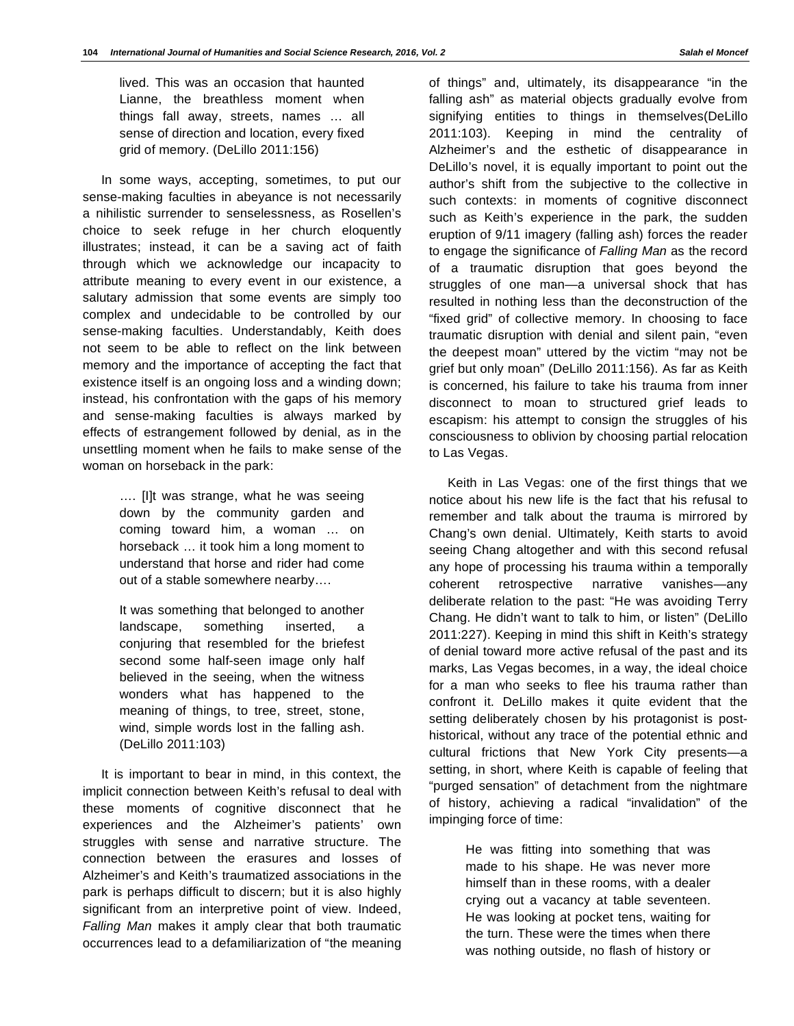lived. This was an occasion that haunted Lianne, the breathless moment when things fall away, streets, names … all sense of direction and location, every fixed grid of memory. (DeLillo 2011:156)

In some ways, accepting, sometimes, to put our sense-making faculties in abeyance is not necessarily a nihilistic surrender to senselessness, as Rosellen's choice to seek refuge in her church eloquently illustrates; instead, it can be a saving act of faith through which we acknowledge our incapacity to attribute meaning to every event in our existence, a salutary admission that some events are simply too complex and undecidable to be controlled by our sense-making faculties. Understandably, Keith does not seem to be able to reflect on the link between memory and the importance of accepting the fact that existence itself is an ongoing loss and a winding down; instead, his confrontation with the gaps of his memory and sense-making faculties is always marked by effects of estrangement followed by denial, as in the unsettling moment when he fails to make sense of the woman on horseback in the park:

> …. [I]t was strange, what he was seeing down by the community garden and coming toward him, a woman … on horseback … it took him a long moment to understand that horse and rider had come out of a stable somewhere nearby….

> It was something that belonged to another landscape, something inserted, a conjuring that resembled for the briefest second some half-seen image only half believed in the seeing, when the witness wonders what has happened to the meaning of things, to tree, street, stone, wind, simple words lost in the falling ash. (DeLillo 2011:103)

It is important to bear in mind, in this context, the implicit connection between Keith's refusal to deal with these moments of cognitive disconnect that he experiences and the Alzheimer's patients' own struggles with sense and narrative structure. The connection between the erasures and losses of Alzheimer's and Keith's traumatized associations in the park is perhaps difficult to discern; but it is also highly significant from an interpretive point of view. Indeed, *Falling Man* makes it amply clear that both traumatic occurrences lead to a defamiliarization of "the meaning

of things" and, ultimately, its disappearance "in the falling ash" as material objects gradually evolve from signifying entities to things in themselves(DeLillo 2011:103). Keeping in mind the centrality of Alzheimer's and the esthetic of disappearance in DeLillo's novel, it is equally important to point out the author's shift from the subjective to the collective in such contexts: in moments of cognitive disconnect such as Keith's experience in the park, the sudden eruption of 9/11 imagery (falling ash) forces the reader to engage the significance of *Falling Man* as the record of a traumatic disruption that goes beyond the struggles of one man—a universal shock that has resulted in nothing less than the deconstruction of the "fixed grid" of collective memory. In choosing to face traumatic disruption with denial and silent pain, "even the deepest moan" uttered by the victim "may not be grief but only moan" (DeLillo 2011:156). As far as Keith is concerned, his failure to take his trauma from inner disconnect to moan to structured grief leads to escapism: his attempt to consign the struggles of his consciousness to oblivion by choosing partial relocation to Las Vegas.

Keith in Las Vegas: one of the first things that we notice about his new life is the fact that his refusal to remember and talk about the trauma is mirrored by Chang's own denial. Ultimately, Keith starts to avoid seeing Chang altogether and with this second refusal any hope of processing his trauma within a temporally coherent retrospective narrative vanishes—any deliberate relation to the past: "He was avoiding Terry Chang. He didn't want to talk to him, or listen" (DeLillo 2011:227). Keeping in mind this shift in Keith's strategy of denial toward more active refusal of the past and its marks, Las Vegas becomes, in a way, the ideal choice for a man who seeks to flee his trauma rather than confront it. DeLillo makes it quite evident that the setting deliberately chosen by his protagonist is posthistorical, without any trace of the potential ethnic and cultural frictions that New York City presents—a setting, in short, where Keith is capable of feeling that "purged sensation" of detachment from the nightmare of history, achieving a radical "invalidation" of the impinging force of time:

> He was fitting into something that was made to his shape. He was never more himself than in these rooms, with a dealer crying out a vacancy at table seventeen. He was looking at pocket tens, waiting for the turn. These were the times when there was nothing outside, no flash of history or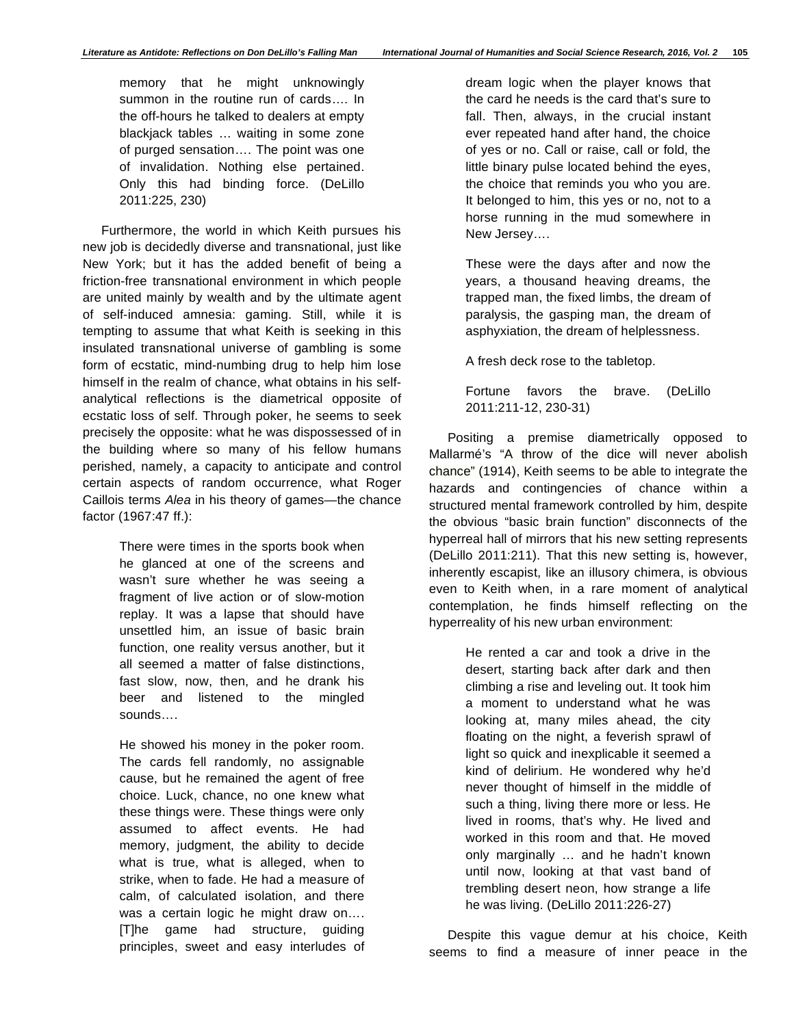memory that he might unknowingly summon in the routine run of cards…. In the off-hours he talked to dealers at empty blackjack tables … waiting in some zone of purged sensation…. The point was one of invalidation. Nothing else pertained. Only this had binding force. (DeLillo 2011:225, 230)

Furthermore, the world in which Keith pursues his new job is decidedly diverse and transnational, just like New York; but it has the added benefit of being a friction-free transnational environment in which people are united mainly by wealth and by the ultimate agent of self-induced amnesia: gaming. Still, while it is tempting to assume that what Keith is seeking in this insulated transnational universe of gambling is some form of ecstatic, mind-numbing drug to help him lose himself in the realm of chance, what obtains in his selfanalytical reflections is the diametrical opposite of ecstatic loss of self. Through poker, he seems to seek precisely the opposite: what he was dispossessed of in the building where so many of his fellow humans perished, namely, a capacity to anticipate and control certain aspects of random occurrence, what Roger Caillois terms *Alea* in his theory of games—the chance factor (1967:47 ff.):

> There were times in the sports book when he glanced at one of the screens and wasn't sure whether he was seeing a fragment of live action or of slow-motion replay. It was a lapse that should have unsettled him, an issue of basic brain function, one reality versus another, but it all seemed a matter of false distinctions, fast slow, now, then, and he drank his beer and listened to the mingled sounds….

> He showed his money in the poker room. The cards fell randomly, no assignable cause, but he remained the agent of free choice. Luck, chance, no one knew what these things were. These things were only assumed to affect events. He had memory, judgment, the ability to decide what is true, what is alleged, when to strike, when to fade. He had a measure of calm, of calculated isolation, and there was a certain logic he might draw on.... [T]he game had structure, guiding principles, sweet and easy interludes of

dream logic when the player knows that the card he needs is the card that's sure to fall. Then, always, in the crucial instant ever repeated hand after hand, the choice of yes or no. Call or raise, call or fold, the little binary pulse located behind the eyes, the choice that reminds you who you are. It belonged to him, this yes or no, not to a horse running in the mud somewhere in New Jersey….

These were the days after and now the years, a thousand heaving dreams, the trapped man, the fixed limbs, the dream of paralysis, the gasping man, the dream of asphyxiation, the dream of helplessness.

A fresh deck rose to the tabletop.

Fortune favors the brave. (DeLillo 2011:211-12, 230-31)

Positing a premise diametrically opposed to Mallarmé's "A throw of the dice will never abolish chance" (1914), Keith seems to be able to integrate the hazards and contingencies of chance within a structured mental framework controlled by him, despite the obvious "basic brain function" disconnects of the hyperreal hall of mirrors that his new setting represents (DeLillo 2011:211). That this new setting is, however, inherently escapist, like an illusory chimera, is obvious even to Keith when, in a rare moment of analytical contemplation, he finds himself reflecting on the hyperreality of his new urban environment:

> He rented a car and took a drive in the desert, starting back after dark and then climbing a rise and leveling out. It took him a moment to understand what he was looking at, many miles ahead, the city floating on the night, a feverish sprawl of light so quick and inexplicable it seemed a kind of delirium. He wondered why he'd never thought of himself in the middle of such a thing, living there more or less. He lived in rooms, that's why. He lived and worked in this room and that. He moved only marginally … and he hadn't known until now, looking at that vast band of trembling desert neon, how strange a life he was living. (DeLillo 2011:226-27)

Despite this vague demur at his choice, Keith seems to find a measure of inner peace in the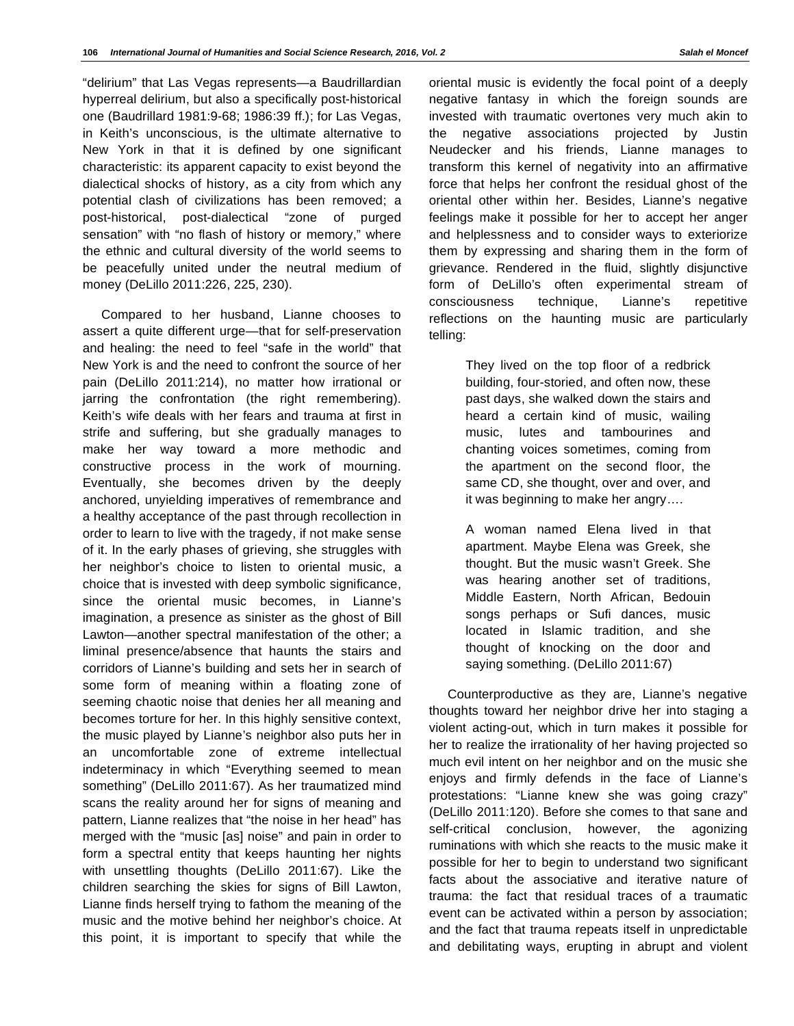"delirium" that Las Vegas represents—a Baudrillardian hyperreal delirium, but also a specifically post-historical one (Baudrillard 1981:9-68; 1986:39 ff.); for Las Vegas, in Keith's unconscious, is the ultimate alternative to New York in that it is defined by one significant characteristic: its apparent capacity to exist beyond the dialectical shocks of history, as a city from which any potential clash of civilizations has been removed; a post-historical, post-dialectical "zone of purged sensation" with "no flash of history or memory," where the ethnic and cultural diversity of the world seems to be peacefully united under the neutral medium of money (DeLillo 2011:226, 225, 230).

Compared to her husband, Lianne chooses to assert a quite different urge—that for self-preservation and healing: the need to feel "safe in the world" that New York is and the need to confront the source of her pain (DeLillo 2011:214), no matter how irrational or jarring the confrontation (the right remembering). Keith's wife deals with her fears and trauma at first in strife and suffering, but she gradually manages to make her way toward a more methodic and constructive process in the work of mourning. Eventually, she becomes driven by the deeply anchored, unyielding imperatives of remembrance and a healthy acceptance of the past through recollection in order to learn to live with the tragedy, if not make sense of it. In the early phases of grieving, she struggles with her neighbor's choice to listen to oriental music, a choice that is invested with deep symbolic significance, since the oriental music becomes, in Lianne's imagination, a presence as sinister as the ghost of Bill Lawton—another spectral manifestation of the other; a liminal presence/absence that haunts the stairs and corridors of Lianne's building and sets her in search of some form of meaning within a floating zone of seeming chaotic noise that denies her all meaning and becomes torture for her. In this highly sensitive context, the music played by Lianne's neighbor also puts her in an uncomfortable zone of extreme intellectual indeterminacy in which "Everything seemed to mean something" (DeLillo 2011:67). As her traumatized mind scans the reality around her for signs of meaning and pattern, Lianne realizes that "the noise in her head" has merged with the "music [as] noise" and pain in order to form a spectral entity that keeps haunting her nights with unsettling thoughts (DeLillo 2011:67). Like the children searching the skies for signs of Bill Lawton, Lianne finds herself trying to fathom the meaning of the music and the motive behind her neighbor's choice. At this point, it is important to specify that while the

oriental music is evidently the focal point of a deeply negative fantasy in which the foreign sounds are invested with traumatic overtones very much akin to the negative associations projected by Justin Neudecker and his friends, Lianne manages to transform this kernel of negativity into an affirmative force that helps her confront the residual ghost of the oriental other within her. Besides, Lianne's negative feelings make it possible for her to accept her anger and helplessness and to consider ways to exteriorize them by expressing and sharing them in the form of grievance. Rendered in the fluid, slightly disjunctive form of DeLillo's often experimental stream of consciousness technique, Lianne's repetitive reflections on the haunting music are particularly telling:

> They lived on the top floor of a redbrick building, four-storied, and often now, these past days, she walked down the stairs and heard a certain kind of music, wailing music, lutes and tambourines and chanting voices sometimes, coming from the apartment on the second floor, the same CD, she thought, over and over, and it was beginning to make her angry….

> A woman named Elena lived in that apartment. Maybe Elena was Greek, she thought. But the music wasn't Greek. She was hearing another set of traditions, Middle Eastern, North African, Bedouin songs perhaps or Sufi dances, music located in Islamic tradition, and she thought of knocking on the door and saying something. (DeLillo 2011:67)

Counterproductive as they are, Lianne's negative thoughts toward her neighbor drive her into staging a violent acting-out, which in turn makes it possible for her to realize the irrationality of her having projected so much evil intent on her neighbor and on the music she enjoys and firmly defends in the face of Lianne's protestations: "Lianne knew she was going crazy" (DeLillo 2011:120). Before she comes to that sane and self-critical conclusion, however, the agonizing ruminations with which she reacts to the music make it possible for her to begin to understand two significant facts about the associative and iterative nature of trauma: the fact that residual traces of a traumatic event can be activated within a person by association; and the fact that trauma repeats itself in unpredictable and debilitating ways, erupting in abrupt and violent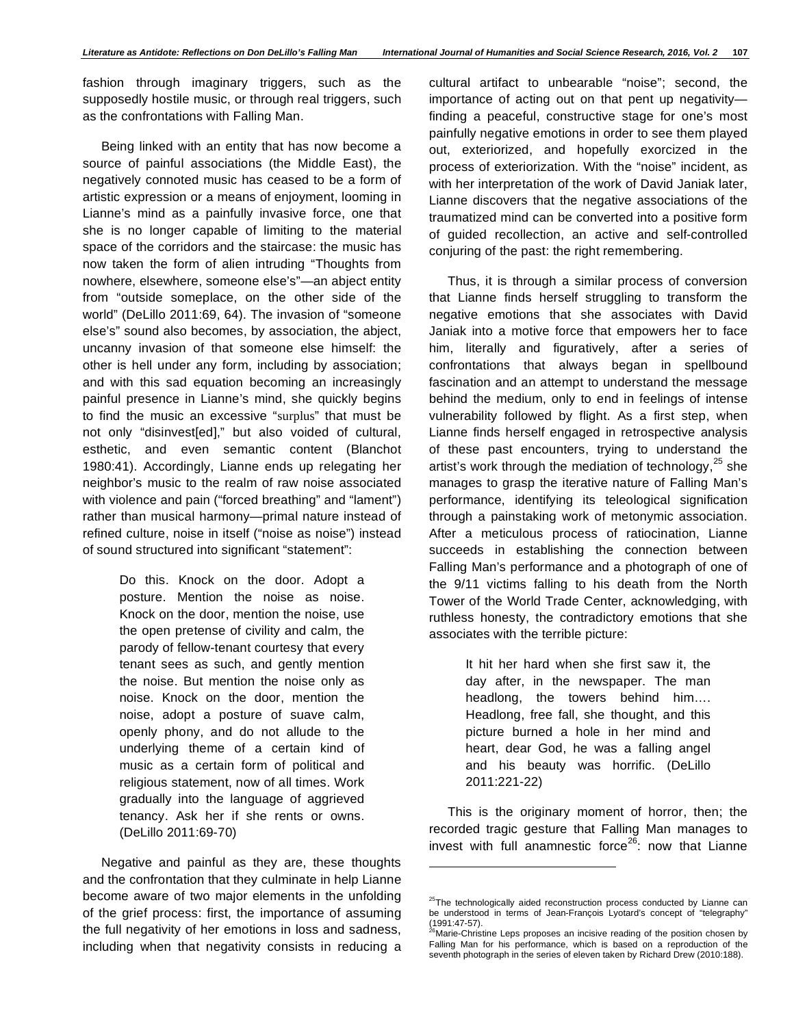fashion through imaginary triggers, such as the supposedly hostile music, or through real triggers, such as the confrontations with Falling Man.

Being linked with an entity that has now become a source of painful associations (the Middle East), the negatively connoted music has ceased to be a form of artistic expression or a means of enjoyment, looming in Lianne's mind as a painfully invasive force, one that she is no longer capable of limiting to the material space of the corridors and the staircase: the music has now taken the form of alien intruding "Thoughts from nowhere, elsewhere, someone else's"—an abject entity from "outside someplace, on the other side of the world" (DeLillo 2011:69, 64). The invasion of "someone else's" sound also becomes, by association, the abject, uncanny invasion of that someone else himself: the other is hell under any form, including by association; and with this sad equation becoming an increasingly painful presence in Lianne's mind, she quickly begins to find the music an excessive "surplus" that must be not only "disinvest[ed]," but also voided of cultural, esthetic, and even semantic content (Blanchot 1980:41). Accordingly, Lianne ends up relegating her neighbor's music to the realm of raw noise associated with violence and pain ("forced breathing" and "lament") rather than musical harmony—primal nature instead of refined culture, noise in itself ("noise as noise") instead of sound structured into significant "statement":

> Do this. Knock on the door. Adopt a posture. Mention the noise as noise. Knock on the door, mention the noise, use the open pretense of civility and calm, the parody of fellow-tenant courtesy that every tenant sees as such, and gently mention the noise. But mention the noise only as noise. Knock on the door, mention the noise, adopt a posture of suave calm, openly phony, and do not allude to the underlying theme of a certain kind of music as a certain form of political and religious statement, now of all times. Work gradually into the language of aggrieved tenancy. Ask her if she rents or owns. (DeLillo 2011:69-70)

Negative and painful as they are, these thoughts and the confrontation that they culminate in help Lianne become aware of two major elements in the unfolding of the grief process: first, the importance of assuming the full negativity of her emotions in loss and sadness, including when that negativity consists in reducing a

cultural artifact to unbearable "noise"; second, the importance of acting out on that pent up negativity finding a peaceful, constructive stage for one's most painfully negative emotions in order to see them played out, exteriorized, and hopefully exorcized in the process of exteriorization. With the "noise" incident, as with her interpretation of the work of David Janiak later, Lianne discovers that the negative associations of the traumatized mind can be converted into a positive form of guided recollection, an active and self-controlled conjuring of the past: the right remembering.

Thus, it is through a similar process of conversion that Lianne finds herself struggling to transform the negative emotions that she associates with David Janiak into a motive force that empowers her to face him, literally and figuratively, after a series of confrontations that always began in spellbound fascination and an attempt to understand the message behind the medium, only to end in feelings of intense vulnerability followed by flight. As a first step, when Lianne finds herself engaged in retrospective analysis of these past encounters, trying to understand the artist's work through the mediation of technology,  $25$  she manages to grasp the iterative nature of Falling Man's performance, identifying its teleological signification through a painstaking work of metonymic association. After a meticulous process of ratiocination, Lianne succeeds in establishing the connection between Falling Man's performance and a photograph of one of the 9/11 victims falling to his death from the North Tower of the World Trade Center, acknowledging, with ruthless honesty, the contradictory emotions that she associates with the terrible picture:

> It hit her hard when she first saw it, the day after, in the newspaper. The man headlong, the towers behind him…. Headlong, free fall, she thought, and this picture burned a hole in her mind and heart, dear God, he was a falling angel and his beauty was horrific. (DeLillo 2011:221-22)

This is the originary moment of horror, then; the recorded tragic gesture that Falling Man manages to invest with full anamnestic force<sup>26</sup>: now that Lianne

 $\overline{a}$ 

 $25$ The technologically aided reconstruction process conducted by Lianne can be understood in terms of Jean-François Lyotard's concept of "telegraphy" (1991:47-57).<br><sup>26</sup>Marie-Christine Leps proposes an incisive reading of the position chosen by

Falling Man for his performance, which is based on a reproduction of the seventh photograph in the series of eleven taken by Richard Drew (2010:188).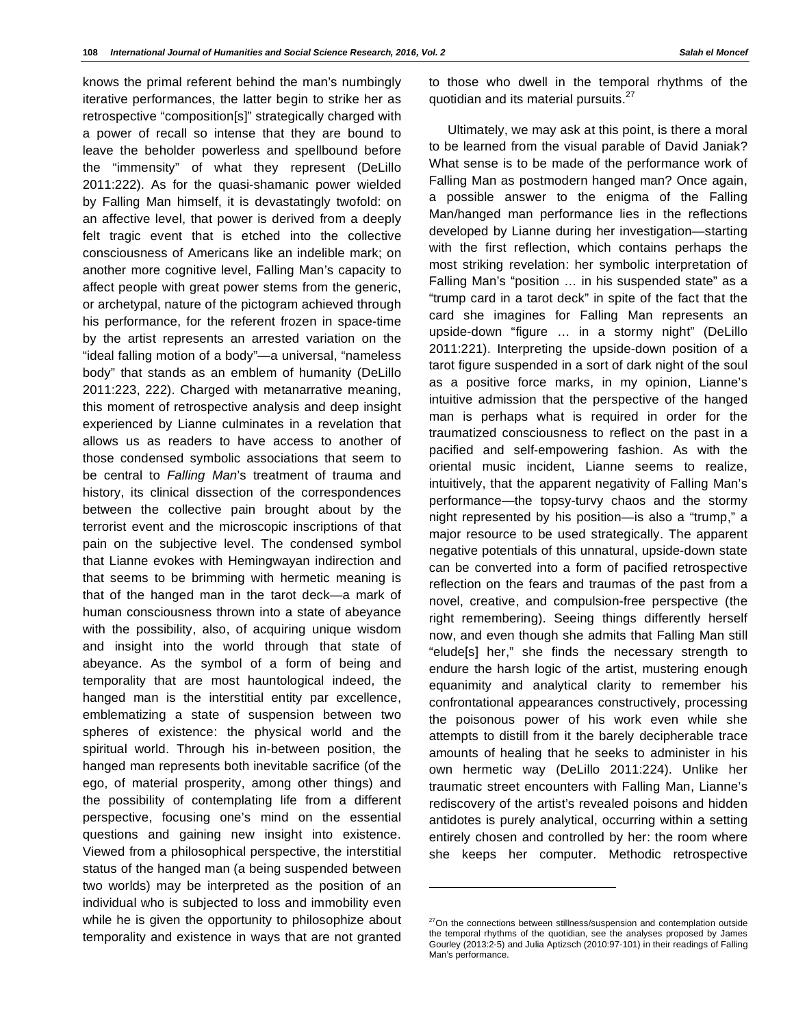knows the primal referent behind the man's numbingly iterative performances, the latter begin to strike her as retrospective "composition[s]" strategically charged with a power of recall so intense that they are bound to leave the beholder powerless and spellbound before the "immensity" of what they represent (DeLillo 2011:222). As for the quasi-shamanic power wielded by Falling Man himself, it is devastatingly twofold: on an affective level, that power is derived from a deeply felt tragic event that is etched into the collective consciousness of Americans like an indelible mark; on another more cognitive level, Falling Man's capacity to affect people with great power stems from the generic, or archetypal, nature of the pictogram achieved through his performance, for the referent frozen in space-time by the artist represents an arrested variation on the "ideal falling motion of a body"—a universal, "nameless body" that stands as an emblem of humanity (DeLillo 2011:223, 222). Charged with metanarrative meaning, this moment of retrospective analysis and deep insight experienced by Lianne culminates in a revelation that allows us as readers to have access to another of those condensed symbolic associations that seem to be central to *Falling Man*'s treatment of trauma and history, its clinical dissection of the correspondences between the collective pain brought about by the terrorist event and the microscopic inscriptions of that pain on the subjective level. The condensed symbol that Lianne evokes with Hemingwayan indirection and that seems to be brimming with hermetic meaning is that of the hanged man in the tarot deck—a mark of human consciousness thrown into a state of abeyance with the possibility, also, of acquiring unique wisdom and insight into the world through that state of abeyance. As the symbol of a form of being and temporality that are most hauntological indeed, the hanged man is the interstitial entity par excellence, emblematizing a state of suspension between two spheres of existence: the physical world and the spiritual world. Through his in-between position, the hanged man represents both inevitable sacrifice (of the ego, of material prosperity, among other things) and the possibility of contemplating life from a different perspective, focusing one's mind on the essential questions and gaining new insight into existence. Viewed from a philosophical perspective, the interstitial status of the hanged man (a being suspended between two worlds) may be interpreted as the position of an individual who is subjected to loss and immobility even while he is given the opportunity to philosophize about temporality and existence in ways that are not granted to those who dwell in the temporal rhythms of the quotidian and its material pursuits.<sup>27</sup>

Ultimately, we may ask at this point, is there a moral to be learned from the visual parable of David Janiak? What sense is to be made of the performance work of Falling Man as postmodern hanged man? Once again, a possible answer to the enigma of the Falling Man/hanged man performance lies in the reflections developed by Lianne during her investigation—starting with the first reflection, which contains perhaps the most striking revelation: her symbolic interpretation of Falling Man's "position … in his suspended state" as a "trump card in a tarot deck" in spite of the fact that the card she imagines for Falling Man represents an upside-down "figure … in a stormy night" (DeLillo 2011:221). Interpreting the upside-down position of a tarot figure suspended in a sort of dark night of the soul as a positive force marks, in my opinion, Lianne's intuitive admission that the perspective of the hanged man is perhaps what is required in order for the traumatized consciousness to reflect on the past in a pacified and self-empowering fashion. As with the oriental music incident, Lianne seems to realize, intuitively, that the apparent negativity of Falling Man's performance—the topsy-turvy chaos and the stormy night represented by his position—is also a "trump," a major resource to be used strategically. The apparent negative potentials of this unnatural, upside-down state can be converted into a form of pacified retrospective reflection on the fears and traumas of the past from a novel, creative, and compulsion-free perspective (the right remembering). Seeing things differently herself now, and even though she admits that Falling Man still "elude[s] her," she finds the necessary strength to endure the harsh logic of the artist, mustering enough equanimity and analytical clarity to remember his confrontational appearances constructively, processing the poisonous power of his work even while she attempts to distill from it the barely decipherable trace amounts of healing that he seeks to administer in his own hermetic way (DeLillo 2011:224). Unlike her traumatic street encounters with Falling Man, Lianne's rediscovery of the artist's revealed poisons and hidden antidotes is purely analytical, occurring within a setting entirely chosen and controlled by her: the room where she keeps her computer. Methodic retrospective

<sup>&</sup>lt;sup>27</sup>On the connections between stillness/suspension and contemplation outside the temporal rhythms of the quotidian, see the analyses proposed by James Gourley (2013:2-5) and Julia Aptizsch (2010:97-101) in their readings of Falling Man's performance.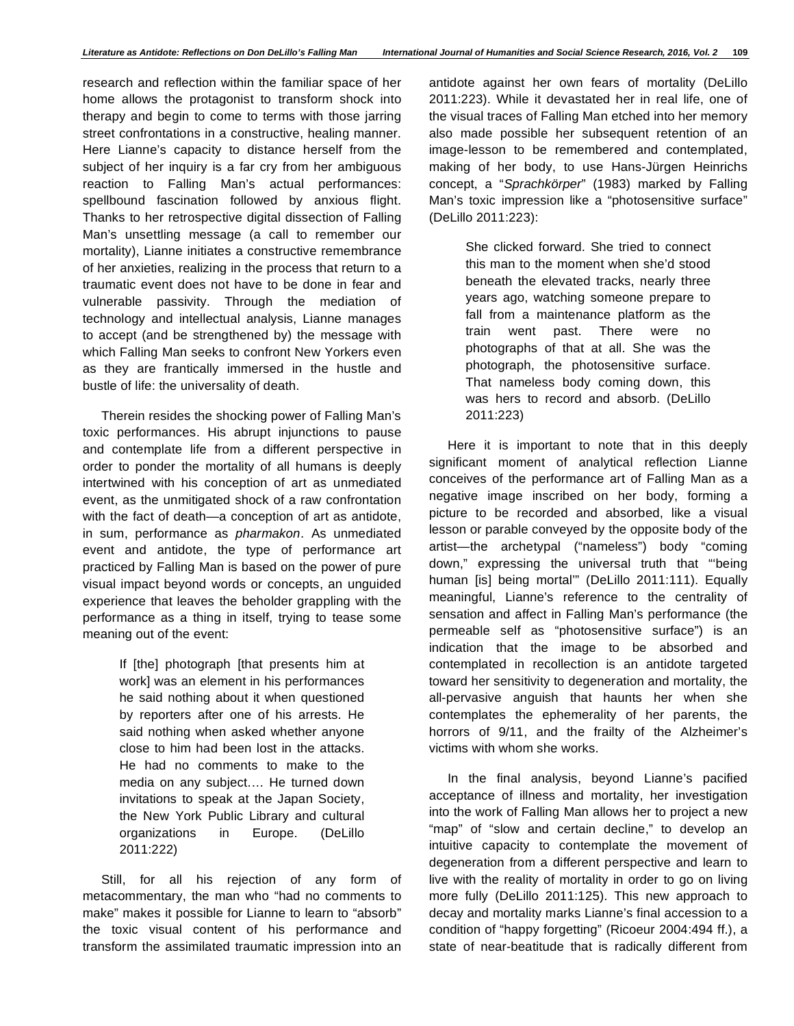research and reflection within the familiar space of her home allows the protagonist to transform shock into therapy and begin to come to terms with those jarring street confrontations in a constructive, healing manner. Here Lianne's capacity to distance herself from the subject of her inquiry is a far cry from her ambiguous reaction to Falling Man's actual performances: spellbound fascination followed by anxious flight. Thanks to her retrospective digital dissection of Falling Man's unsettling message (a call to remember our mortality), Lianne initiates a constructive remembrance of her anxieties, realizing in the process that return to a traumatic event does not have to be done in fear and vulnerable passivity. Through the mediation of technology and intellectual analysis, Lianne manages to accept (and be strengthened by) the message with which Falling Man seeks to confront New Yorkers even as they are frantically immersed in the hustle and bustle of life: the universality of death.

Therein resides the shocking power of Falling Man's toxic performances. His abrupt injunctions to pause and contemplate life from a different perspective in order to ponder the mortality of all humans is deeply intertwined with his conception of art as unmediated event, as the unmitigated shock of a raw confrontation with the fact of death—a conception of art as antidote, in sum, performance as *pharmakon*. As unmediated event and antidote, the type of performance art practiced by Falling Man is based on the power of pure visual impact beyond words or concepts, an unguided experience that leaves the beholder grappling with the performance as a thing in itself, trying to tease some meaning out of the event:

> If [the] photograph [that presents him at work] was an element in his performances he said nothing about it when questioned by reporters after one of his arrests. He said nothing when asked whether anyone close to him had been lost in the attacks. He had no comments to make to the media on any subject.… He turned down invitations to speak at the Japan Society, the New York Public Library and cultural organizations in Europe. (DeLillo 2011:222)

Still, for all his rejection of any form of metacommentary, the man who "had no comments to make" makes it possible for Lianne to learn to "absorb" the toxic visual content of his performance and transform the assimilated traumatic impression into an antidote against her own fears of mortality (DeLillo 2011:223). While it devastated her in real life, one of the visual traces of Falling Man etched into her memory also made possible her subsequent retention of an image-lesson to be remembered and contemplated, making of her body, to use Hans-Jürgen Heinrichs concept, a "*Sprachkörper*" (1983) marked by Falling Man's toxic impression like a "photosensitive surface" (DeLillo 2011:223):

> She clicked forward. She tried to connect this man to the moment when she'd stood beneath the elevated tracks, nearly three years ago, watching someone prepare to fall from a maintenance platform as the train went past. There were no photographs of that at all. She was the photograph, the photosensitive surface. That nameless body coming down, this was hers to record and absorb. (DeLillo 2011:223)

Here it is important to note that in this deeply significant moment of analytical reflection Lianne conceives of the performance art of Falling Man as a negative image inscribed on her body, forming a picture to be recorded and absorbed, like a visual lesson or parable conveyed by the opposite body of the artist—the archetypal ("nameless") body "coming down," expressing the universal truth that "'being human [is] being mortal'" (DeLillo 2011:111). Equally meaningful, Lianne's reference to the centrality of sensation and affect in Falling Man's performance (the permeable self as "photosensitive surface") is an indication that the image to be absorbed and contemplated in recollection is an antidote targeted toward her sensitivity to degeneration and mortality, the all-pervasive anguish that haunts her when she contemplates the ephemerality of her parents, the horrors of 9/11, and the frailty of the Alzheimer's victims with whom she works.

In the final analysis, beyond Lianne's pacified acceptance of illness and mortality, her investigation into the work of Falling Man allows her to project a new "map" of "slow and certain decline," to develop an intuitive capacity to contemplate the movement of degeneration from a different perspective and learn to live with the reality of mortality in order to go on living more fully (DeLillo 2011:125). This new approach to decay and mortality marks Lianne's final accession to a condition of "happy forgetting" (Ricoeur 2004:494 ff.), a state of near-beatitude that is radically different from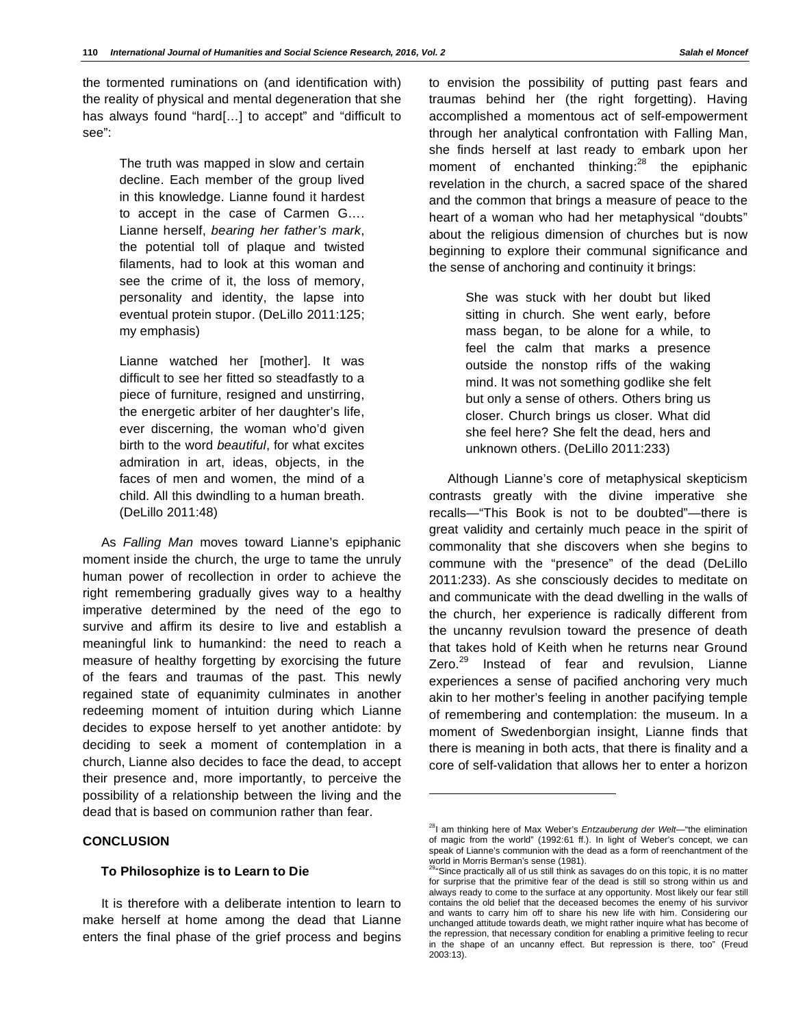the tormented ruminations on (and identification with) the reality of physical and mental degeneration that she has always found "hard[…] to accept" and "difficult to see":

> The truth was mapped in slow and certain decline. Each member of the group lived in this knowledge. Lianne found it hardest to accept in the case of Carmen G…. Lianne herself, *bearing her father's mark*, the potential toll of plaque and twisted filaments, had to look at this woman and see the crime of it, the loss of memory, personality and identity, the lapse into eventual protein stupor. (DeLillo 2011:125; my emphasis)

> Lianne watched her [mother]. It was difficult to see her fitted so steadfastly to a piece of furniture, resigned and unstirring, the energetic arbiter of her daughter's life, ever discerning, the woman who'd given birth to the word *beautiful*, for what excites admiration in art, ideas, objects, in the faces of men and women, the mind of a child. All this dwindling to a human breath. (DeLillo 2011:48)

As *Falling Man* moves toward Lianne's epiphanic moment inside the church, the urge to tame the unruly human power of recollection in order to achieve the right remembering gradually gives way to a healthy imperative determined by the need of the ego to survive and affirm its desire to live and establish a meaningful link to humankind: the need to reach a measure of healthy forgetting by exorcising the future of the fears and traumas of the past. This newly regained state of equanimity culminates in another redeeming moment of intuition during which Lianne decides to expose herself to yet another antidote: by deciding to seek a moment of contemplation in a church, Lianne also decides to face the dead, to accept their presence and, more importantly, to perceive the possibility of a relationship between the living and the dead that is based on communion rather than fear.

#### **CONCLUSION**

#### **To Philosophize is to Learn to Die**

It is therefore with a deliberate intention to learn to make herself at home among the dead that Lianne enters the final phase of the grief process and begins

to envision the possibility of putting past fears and traumas behind her (the right forgetting). Having accomplished a momentous act of self-empowerment through her analytical confrontation with Falling Man, she finds herself at last ready to embark upon her moment of enchanted thinking: $28$  the epiphanic revelation in the church, a sacred space of the shared and the common that brings a measure of peace to the heart of a woman who had her metaphysical "doubts" about the religious dimension of churches but is now beginning to explore their communal significance and the sense of anchoring and continuity it brings:

> She was stuck with her doubt but liked sitting in church. She went early, before mass began, to be alone for a while, to feel the calm that marks a presence outside the nonstop riffs of the waking mind. It was not something godlike she felt but only a sense of others. Others bring us closer. Church brings us closer. What did she feel here? She felt the dead, hers and unknown others. (DeLillo 2011:233)

Although Lianne's core of metaphysical skepticism contrasts greatly with the divine imperative she recalls—"This Book is not to be doubted"—there is great validity and certainly much peace in the spirit of commonality that she discovers when she begins to commune with the "presence" of the dead (DeLillo 2011:233). As she consciously decides to meditate on and communicate with the dead dwelling in the walls of the church, her experience is radically different from the uncanny revulsion toward the presence of death that takes hold of Keith when he returns near Ground Zero.<sup>29</sup> Instead of fear and revulsion, Lianne experiences a sense of pacified anchoring very much akin to her mother's feeling in another pacifying temple of remembering and contemplation: the museum. In a moment of Swedenborgian insight, Lianne finds that there is meaning in both acts, that there is finality and a core of self-validation that allows her to enter a horizon

<sup>28</sup>I am thinking here of Max Weber's *Entzauberung der Welt*—"the elimination of magic from the world" (1992:61 ff.). In light of Weber's concept, we can speak of Lianne's communion with the dead as a form of reenchantment of the world in Morris Berman's sense (1981).

<sup>&</sup>lt;sup>9</sup>"Since practically all of us still think as savages do on this topic, it is no matter for surprise that the primitive fear of the dead is still so strong within us and always ready to come to the surface at any opportunity. Most likely our fear still contains the old belief that the deceased becomes the enemy of his survivor and wants to carry him off to share his new life with him. Considering our unchanged attitude towards death, we might rather inquire what has become of the repression, that necessary condition for enabling a primitive feeling to recur in the shape of an uncanny effect. But repression is there, too" (Freud 2003:13).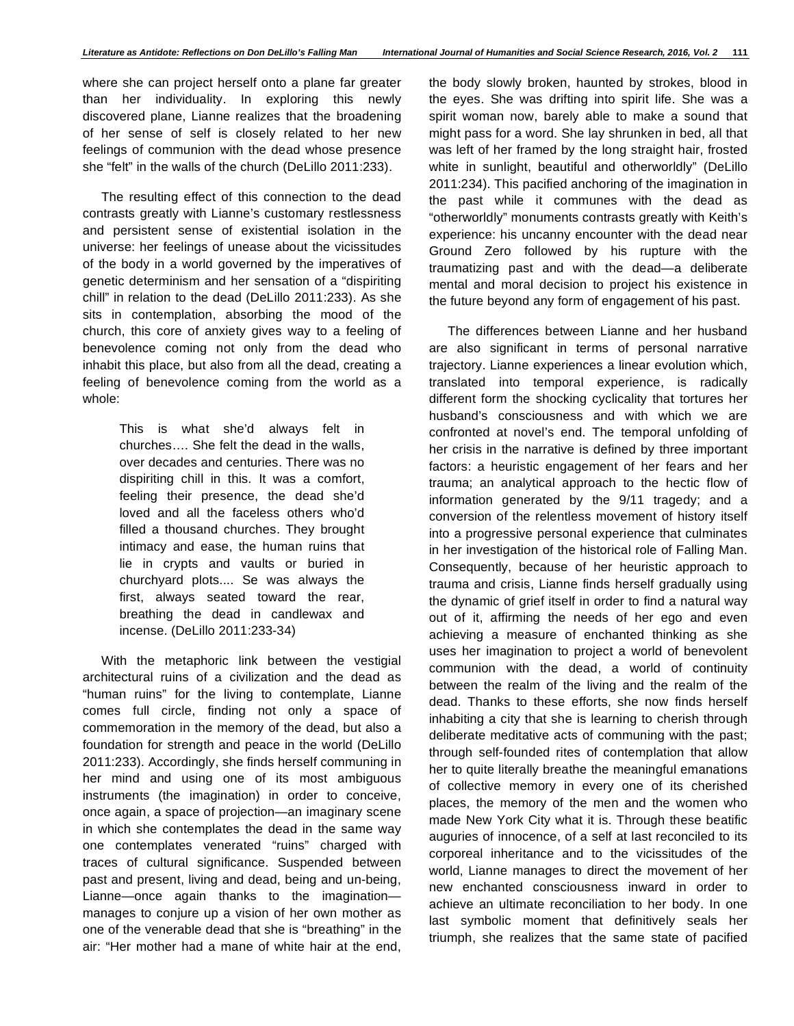where she can project herself onto a plane far greater than her individuality. In exploring this newly discovered plane, Lianne realizes that the broadening of her sense of self is closely related to her new feelings of communion with the dead whose presence she "felt" in the walls of the church (DeLillo 2011:233).

The resulting effect of this connection to the dead contrasts greatly with Lianne's customary restlessness and persistent sense of existential isolation in the universe: her feelings of unease about the vicissitudes of the body in a world governed by the imperatives of genetic determinism and her sensation of a "dispiriting chill" in relation to the dead (DeLillo 2011:233). As she sits in contemplation, absorbing the mood of the church, this core of anxiety gives way to a feeling of benevolence coming not only from the dead who inhabit this place, but also from all the dead, creating a feeling of benevolence coming from the world as a whole:

> This is what she'd always felt in churches…. She felt the dead in the walls, over decades and centuries. There was no dispiriting chill in this. It was a comfort, feeling their presence, the dead she'd loved and all the faceless others who'd filled a thousand churches. They brought intimacy and ease, the human ruins that lie in crypts and vaults or buried in churchyard plots.... Se was always the first, always seated toward the rear, breathing the dead in candlewax and incense. (DeLillo 2011:233-34)

With the metaphoric link between the vestigial architectural ruins of a civilization and the dead as "human ruins" for the living to contemplate, Lianne comes full circle, finding not only a space of commemoration in the memory of the dead, but also a foundation for strength and peace in the world (DeLillo 2011:233). Accordingly, she finds herself communing in her mind and using one of its most ambiguous instruments (the imagination) in order to conceive, once again, a space of projection—an imaginary scene in which she contemplates the dead in the same way one contemplates venerated "ruins" charged with traces of cultural significance. Suspended between past and present, living and dead, being and un-being, Lianne—once again thanks to the imagination manages to conjure up a vision of her own mother as one of the venerable dead that she is "breathing" in the air: "Her mother had a mane of white hair at the end,

the body slowly broken, haunted by strokes, blood in the eyes. She was drifting into spirit life. She was a spirit woman now, barely able to make a sound that might pass for a word. She lay shrunken in bed, all that was left of her framed by the long straight hair, frosted white in sunlight, beautiful and otherworldly" (DeLillo 2011:234). This pacified anchoring of the imagination in the past while it communes with the dead as "otherworldly" monuments contrasts greatly with Keith's experience: his uncanny encounter with the dead near Ground Zero followed by his rupture with the traumatizing past and with the dead—a deliberate mental and moral decision to project his existence in the future beyond any form of engagement of his past.

The differences between Lianne and her husband are also significant in terms of personal narrative trajectory. Lianne experiences a linear evolution which, translated into temporal experience, is radically different form the shocking cyclicality that tortures her husband's consciousness and with which we are confronted at novel's end. The temporal unfolding of her crisis in the narrative is defined by three important factors: a heuristic engagement of her fears and her trauma; an analytical approach to the hectic flow of information generated by the 9/11 tragedy; and a conversion of the relentless movement of history itself into a progressive personal experience that culminates in her investigation of the historical role of Falling Man. Consequently, because of her heuristic approach to trauma and crisis, Lianne finds herself gradually using the dynamic of grief itself in order to find a natural way out of it, affirming the needs of her ego and even achieving a measure of enchanted thinking as she uses her imagination to project a world of benevolent communion with the dead, a world of continuity between the realm of the living and the realm of the dead. Thanks to these efforts, she now finds herself inhabiting a city that she is learning to cherish through deliberate meditative acts of communing with the past; through self-founded rites of contemplation that allow her to quite literally breathe the meaningful emanations of collective memory in every one of its cherished places, the memory of the men and the women who made New York City what it is. Through these beatific auguries of innocence, of a self at last reconciled to its corporeal inheritance and to the vicissitudes of the world, Lianne manages to direct the movement of her new enchanted consciousness inward in order to achieve an ultimate reconciliation to her body. In one last symbolic moment that definitively seals her triumph, she realizes that the same state of pacified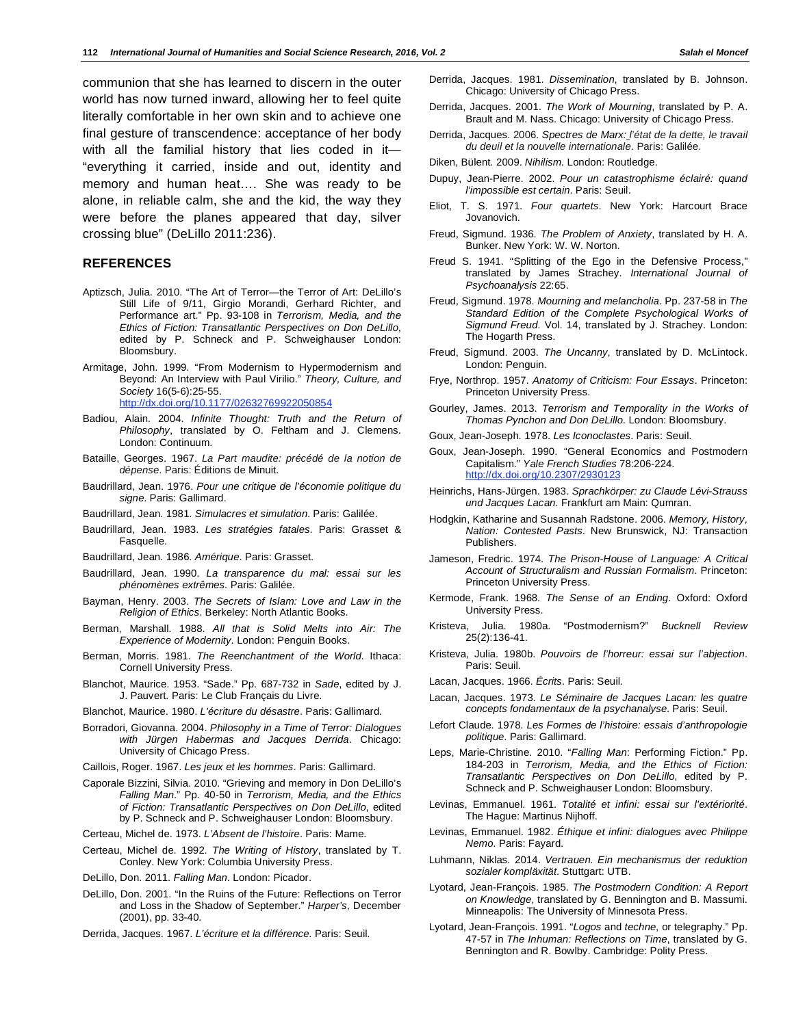communion that she has learned to discern in the outer world has now turned inward, allowing her to feel quite literally comfortable in her own skin and to achieve one final gesture of transcendence: acceptance of her body with all the familial history that lies coded in it— "everything it carried, inside and out, identity and memory and human heat…. She was ready to be alone, in reliable calm, she and the kid, the way they were before the planes appeared that day, silver crossing blue" (DeLillo 2011:236).

#### **REFERENCES**

- Aptizsch, Julia. 2010. "The Art of Terror—the Terror of Art: DeLillo's Still Life of 9/11, Girgio Morandi, Gerhard Richter, and Performance art." Pp. 93-108 in *Terrorism, Media, and the Ethics of Fiction: Transatlantic Perspectives on Don DeLillo*, edited by P. Schneck and P. Schweighauser London: Bloomsbury.
- Armitage, John. 1999. "From Modernism to Hypermodernism and Beyond: An Interview with Paul Virilio." *Theory, Culture, and Society* 16(5-6):25-55. http://dx.doi.org/10.1177/02632769922050854
- Badiou, Alain. 2004. *Infinite Thought: Truth and the Return of Philosophy*, translated by O. Feltham and J. Clemens. London: Continuum.
- Bataille, Georges. 1967. *La Part maudite: précédé de la notion de dépense*. Paris: Éditions de Minuit.
- Baudrillard, Jean. 1976. *Pour une critique de l'économie politique du signe*. Paris: Gallimard.
- Baudrillard, Jean. 1981. *Simulacres et simulation*. Paris: Galilée.
- Baudrillard, Jean. 1983. *Les stratégies fatales*. Paris: Grasset & Fasquelle.
- Baudrillard, Jean. 1986. *Amérique*. Paris: Grasset.
- Baudrillard, Jean. 1990. *La transparence du mal: essai sur les phénomènes extrêmes*. Paris: Galilée.
- Bayman, Henry. 2003. *The Secrets of Islam: Love and Law in the Religion of Ethics*. Berkeley: North Atlantic Books.
- Berman, Marshall. 1988. *All that is Solid Melts into Air: The Experience of Modernity*. London: Penguin Books.
- Berman, Morris. 1981. *The Reenchantment of the World*. Ithaca: Cornell University Press.
- Blanchot, Maurice. 1953. "Sade." Pp. 687-732 in *Sade*, edited by J. J. Pauvert. Paris: Le Club Français du Livre.
- Blanchot, Maurice. 1980. *L'écriture du désastre*. Paris: Gallimard.
- Borradori, Giovanna. 2004. *Philosophy in a Time of Terror: Dialogues with Jürgen Habermas and Jacques Derrida*. Chicago: University of Chicago Press.
- Caillois, Roger. 1967. *Les jeux et les hommes*. Paris: Gallimard.
- Caporale Bizzini, Silvia. 2010. "Grieving and memory in Don DeLillo's *Falling Man*." Pp. 40-50 in *Terrorism, Media, and the Ethics of Fiction: Transatlantic Perspectives on Don DeLillo*, edited by P. Schneck and P. Schweighauser London: Bloomsbury.
- Certeau, Michel de. 1973. *L'Absent de l'histoire*. Paris: Mame.
- Certeau, Michel de. 1992. *The Writing of History*, translated by T. Conley. New York: Columbia University Press.
- DeLillo, Don. 2011. *Falling Man*. London: Picador.
- DeLillo, Don. 2001. "In the Ruins of the Future: Reflections on Terror and Loss in the Shadow of September." *Harper's*, December (2001), pp. 33-40.
- Derrida, Jacques. 1967. *L'écriture et la différence*. Paris: Seuil.
- Derrida, Jacques. 1981. *Dissemination*, translated by B. Johnson. Chicago: University of Chicago Press.
- Derrida, Jacques. 2001. *The Work of Mourning*, translated by P. A. Brault and M. Nass. Chicago: University of Chicago Press.
- Derrida, Jacques. 2006. *Spectres de Marx: l'état de la dette, le travail du deuil et la nouvelle internationale*. Paris: Galilée.
- Diken, Bülent. 2009. *Nihilism*. London: Routledge.
- Dupuy, Jean-Pierre. 2002. *Pour un catastrophisme éclairé: quand l'impossible est certain*. Paris: Seuil.
- Eliot, T. S. 1971. *Four quartets*. New York: Harcourt Brace Jovanovich.
- Freud, Sigmund. 1936. *The Problem of Anxiety*, translated by H. A. Bunker. New York: W. W. Norton.
- Freud S. 1941. "Splitting of the Ego in the Defensive Process," translated by James Strachey. *International Journal of Psychoanalysis* 22:65.
- Freud, Sigmund. 1978. *Mourning and melancholia*. Pp. 237-58 in *The Standard Edition of the Complete Psychological Works of Sigmund Freud*. Vol. 14, translated by J. Strachey. London: The Hogarth Press.
- Freud, Sigmund. 2003. *The Uncanny*, translated by D. McLintock. London: Penguin.
- Frye, Northrop. 1957. *Anatomy of Criticism: Four Essays*. Princeton: Princeton University Press.
- Gourley, James. 2013. *Terrorism and Temporality in the Works of Thomas Pynchon and Don DeLillo*. London: Bloomsbury.
- Goux, Jean-Joseph. 1978. *Les Iconoclastes*. Paris: Seuil.
- Goux, Jean-Joseph. 1990. "General Economics and Postmodern Capitalism." *Yale French Studies* 78:206-224. http://dx.doi.org/10.2307/2930123
- Heinrichs, Hans-Jürgen. 1983. *Sprachkörper: zu Claude Lévi-Strauss und Jacques Lacan*. Frankfurt am Main: Qumran.
- Hodgkin, Katharine and Susannah Radstone. 2006. *Memory, History, Nation: Contested Pasts*. New Brunswick, NJ: Transaction Publishers.
- Jameson, Fredric. 1974. *The Prison-House of Language: A Critical Account of Structuralism and Russian Formalism*. Princeton: Princeton University Press.
- Kermode, Frank. 1968. *The Sense of an Ending*. Oxford: Oxford University Press.
- Kristeva, Julia. 1980a. "Postmodernism?" *Bucknell Review* 25(2):136-41.
- Kristeva, Julia. 1980b. *Pouvoirs de l'horreur: essai sur l'abjection*. Paris: Seuil.
- Lacan, Jacques. 1966. *Écrits*. Paris: Seuil.
- Lacan, Jacques. 1973. *Le Séminaire de Jacques Lacan: les quatre concepts fondamentaux de la psychanalyse*. Paris: Seuil.
- Lefort Claude. 1978. *Les Formes de l'histoire: essais d'anthropologie politique*. Paris: Gallimard.
- Leps, Marie-Christine. 2010. "*Falling Man*: Performing Fiction." Pp. 184-203 in *Terrorism, Media, and the Ethics of Fiction: Transatlantic Perspectives on Don DeLillo*, edited by P. Schneck and P. Schweighauser London: Bloomsbury.
- Levinas, Emmanuel. 1961. *Totalité et infini: essai sur l'extériorité*. The Hague: Martinus Nijhoff.
- Levinas, Emmanuel. 1982. *Éthique et infini: dialogues avec Philippe Nemo*. Paris: Fayard.
- Luhmann, Niklas. 2014. *Vertrauen. Ein mechanismus der reduktion sozialer kompläxität*. Stuttgart: UTB.
- Lyotard, Jean-François. 1985. *The Postmodern Condition: A Report on Knowledge*, translated by G. Bennington and B. Massumi. Minneapolis: The University of Minnesota Press.
- Lyotard, Jean-François. 1991. "*Logos* and *techne*, or telegraphy." Pp. 47-57 in *The Inhuman: Reflections on Time*, translated by G. Bennington and R. Bowlby. Cambridge: Polity Press.